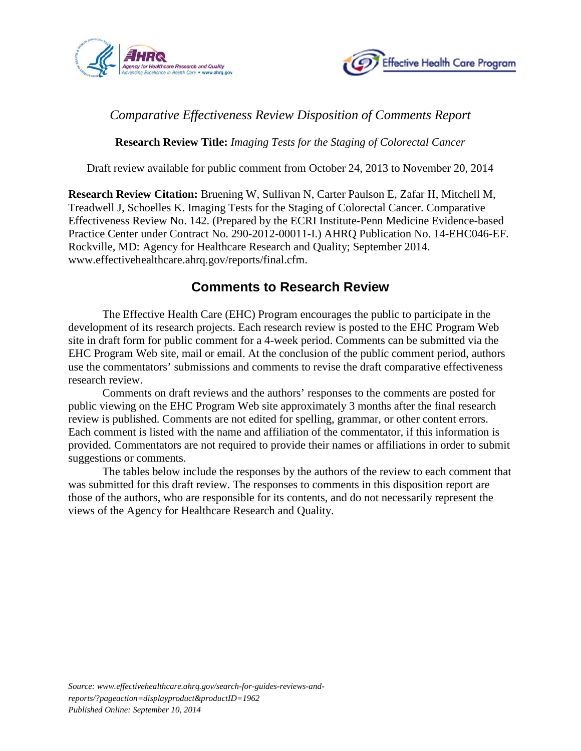



## *Comparative Effectiveness Review Disposition of Comments Report*

**Research Review Title:** *Imaging Tests for the Staging of Colorectal Cancer* 

Draft review available for public comment from October 24, 2013 to November 20, 2014

**Research Review Citation:** Bruening W, Sullivan N, Carter Paulson E, Zafar H, Mitchell M, Treadwell J, Schoelles K. Imaging Tests for the Staging of Colorectal Cancer. Comparative Effectiveness Review No. 142. (Prepared by the ECRI Institute-Penn Medicine Evidence-based Practice Center under Contract No. 290-2012-00011-I.) AHRQ Publication No. 14-EHC046-EF. Rockville, MD: Agency for Healthcare Research and Quality; September 2014. www.effectivehealthcare.ahrq.gov/reports/final.cfm.

## **Comments to Research Review**

The Effective Health Care (EHC) Program encourages the public to participate in the development of its research projects. Each research review is posted to the EHC Program Web site in draft form for public comment for a 4-week period. Comments can be submitted via the EHC Program Web site, mail or email. At the conclusion of the public comment period, authors use the commentators' submissions and comments to revise the draft comparative effectiveness research review.

Comments on draft reviews and the authors' responses to the comments are posted for public viewing on the EHC Program Web site approximately 3 months after the final research review is published. Comments are not edited for spelling, grammar, or other content errors. Each comment is listed with the name and affiliation of the commentator, if this information is provided*.* Commentators are not required to provide their names or affiliations in order to submit suggestions or comments.

The tables below include the responses by the authors of the review to each comment that was submitted for this draft review. The responses to comments in this disposition report are those of the authors, who are responsible for its contents, and do not necessarily represent the views of the Agency for Healthcare Research and Quality.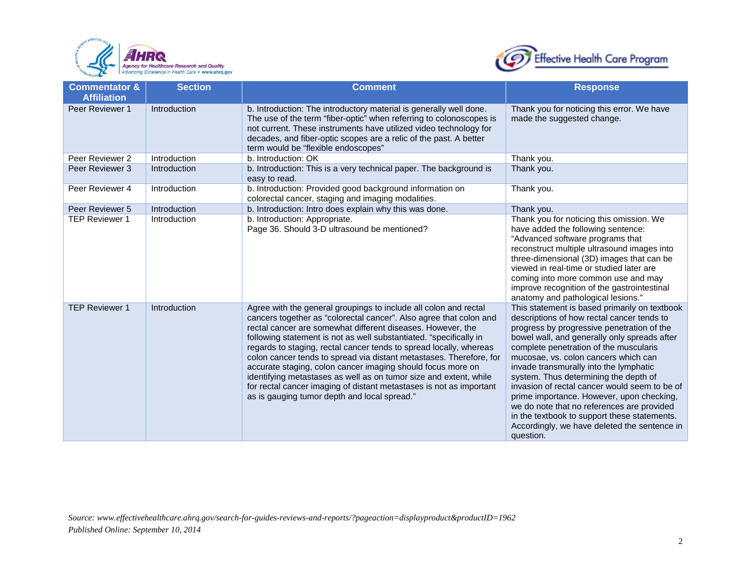



| <b>Commentator &amp;</b><br><b>Affiliation</b> | <b>Section</b> | <b>Comment</b>                                                                                                                                                                                                                                                                                                                                                                                                                                                                                                                                                                                                                                                                      | <b>Response</b>                                                                                                                                                                                                                                                                                                                                                                                                                                                                                                                                                                                                         |
|------------------------------------------------|----------------|-------------------------------------------------------------------------------------------------------------------------------------------------------------------------------------------------------------------------------------------------------------------------------------------------------------------------------------------------------------------------------------------------------------------------------------------------------------------------------------------------------------------------------------------------------------------------------------------------------------------------------------------------------------------------------------|-------------------------------------------------------------------------------------------------------------------------------------------------------------------------------------------------------------------------------------------------------------------------------------------------------------------------------------------------------------------------------------------------------------------------------------------------------------------------------------------------------------------------------------------------------------------------------------------------------------------------|
| Peer Reviewer 1                                | Introduction   | b. Introduction: The introductory material is generally well done.<br>The use of the term "fiber-optic" when referring to colonoscopes is<br>not current. These instruments have utilized video technology for<br>decades, and fiber-optic scopes are a relic of the past. A better<br>term would be "flexible endoscopes"                                                                                                                                                                                                                                                                                                                                                          | Thank you for noticing this error. We have<br>made the suggested change.                                                                                                                                                                                                                                                                                                                                                                                                                                                                                                                                                |
| Peer Reviewer 2                                | Introduction   | b. Introduction: OK                                                                                                                                                                                                                                                                                                                                                                                                                                                                                                                                                                                                                                                                 | Thank you.                                                                                                                                                                                                                                                                                                                                                                                                                                                                                                                                                                                                              |
| Peer Reviewer 3                                | Introduction   | b. Introduction: This is a very technical paper. The background is<br>easy to read.                                                                                                                                                                                                                                                                                                                                                                                                                                                                                                                                                                                                 | Thank you.                                                                                                                                                                                                                                                                                                                                                                                                                                                                                                                                                                                                              |
| Peer Reviewer 4                                | Introduction   | b. Introduction: Provided good background information on<br>colorectal cancer, staging and imaging modalities.                                                                                                                                                                                                                                                                                                                                                                                                                                                                                                                                                                      | Thank you.                                                                                                                                                                                                                                                                                                                                                                                                                                                                                                                                                                                                              |
| Peer Reviewer 5                                | Introduction   | b. Introduction: Intro does explain why this was done.                                                                                                                                                                                                                                                                                                                                                                                                                                                                                                                                                                                                                              | Thank you.                                                                                                                                                                                                                                                                                                                                                                                                                                                                                                                                                                                                              |
| <b>TEP Reviewer 1</b>                          | Introduction   | b. Introduction: Appropriate.<br>Page 36. Should 3-D ultrasound be mentioned?                                                                                                                                                                                                                                                                                                                                                                                                                                                                                                                                                                                                       | Thank you for noticing this omission. We<br>have added the following sentence:<br>"Advanced software programs that<br>reconstruct multiple ultrasound images into<br>three-dimensional (3D) images that can be<br>viewed in real-time or studied later are<br>coming into more common use and may<br>improve recognition of the gastrointestinal<br>anatomy and pathological lesions."                                                                                                                                                                                                                                  |
| <b>TEP Reviewer 1</b>                          | Introduction   | Agree with the general groupings to include all colon and rectal<br>cancers together as "colorectal cancer". Also agree that colon and<br>rectal cancer are somewhat different diseases. However, the<br>following statement is not as well substantiated. "specifically in<br>regards to staging, rectal cancer tends to spread locally, whereas<br>colon cancer tends to spread via distant metastases. Therefore, for<br>accurate staging, colon cancer imaging should focus more on<br>identifying metastases as well as on tumor size and extent, while<br>for rectal cancer imaging of distant metastases is not as important<br>as is gauging tumor depth and local spread." | This statement is based primarily on textbook<br>descriptions of how rectal cancer tends to<br>progress by progressive penetration of the<br>bowel wall, and generally only spreads after<br>complete penetration of the muscularis<br>mucosae, vs. colon cancers which can<br>invade transmurally into the lymphatic<br>system. Thus determining the depth of<br>invasion of rectal cancer would seem to be of<br>prime importance. However, upon checking,<br>we do note that no references are provided<br>in the textbook to support these statements.<br>Accordingly, we have deleted the sentence in<br>question. |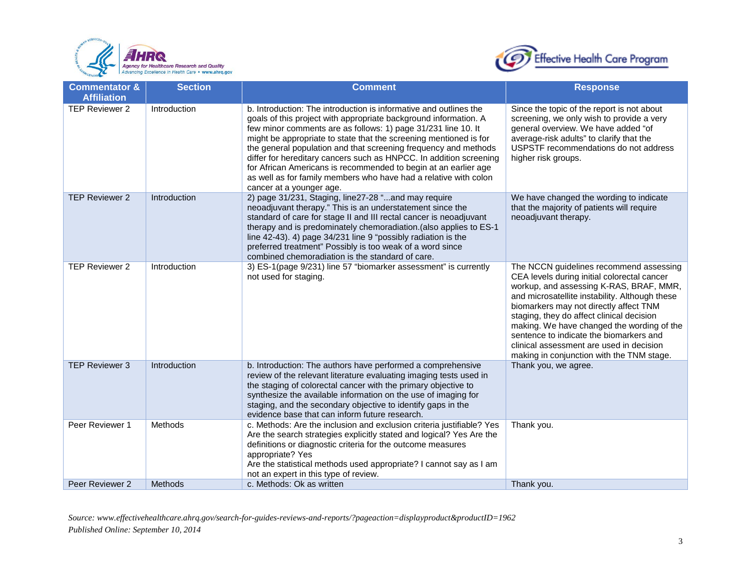



| <b>Commentator &amp;</b> | <b>Section</b> | <b>Comment</b>                                                                                                                                                                                                                                                                                                                                                                                                                                                                                                                                                                          | <b>Response</b>                                                                                                                                                                                                                                                                                                                                                                                                                                              |
|--------------------------|----------------|-----------------------------------------------------------------------------------------------------------------------------------------------------------------------------------------------------------------------------------------------------------------------------------------------------------------------------------------------------------------------------------------------------------------------------------------------------------------------------------------------------------------------------------------------------------------------------------------|--------------------------------------------------------------------------------------------------------------------------------------------------------------------------------------------------------------------------------------------------------------------------------------------------------------------------------------------------------------------------------------------------------------------------------------------------------------|
| <b>Affiliation</b>       |                |                                                                                                                                                                                                                                                                                                                                                                                                                                                                                                                                                                                         |                                                                                                                                                                                                                                                                                                                                                                                                                                                              |
| <b>TEP Reviewer 2</b>    | Introduction   | b. Introduction: The introduction is informative and outlines the<br>goals of this project with appropriate background information. A<br>few minor comments are as follows: 1) page 31/231 line 10. It<br>might be appropriate to state that the screening mentioned is for<br>the general population and that screening frequency and methods<br>differ for hereditary cancers such as HNPCC. In addition screening<br>for African Americans is recommended to begin at an earlier age<br>as well as for family members who have had a relative with colon<br>cancer at a younger age. | Since the topic of the report is not about<br>screening, we only wish to provide a very<br>general overview. We have added "of<br>average-risk adults" to clarify that the<br>USPSTF recommendations do not address<br>higher risk groups.                                                                                                                                                                                                                   |
| <b>TEP Reviewer 2</b>    | Introduction   | 2) page 31/231, Staging, line27-28 "and may require<br>neoadjuvant therapy." This is an understatement since the<br>standard of care for stage II and III rectal cancer is neoadjuvant<br>therapy and is predominately chemoradiation. (also applies to ES-1<br>line 42-43). 4) page 34/231 line 9 "possibly radiation is the<br>preferred treatment" Possibly is too weak of a word since<br>combined chemoradiation is the standard of care.                                                                                                                                          | We have changed the wording to indicate<br>that the majority of patients will require<br>neoadjuvant therapy.                                                                                                                                                                                                                                                                                                                                                |
| <b>TEP Reviewer 2</b>    | Introduction   | 3) ES-1(page 9/231) line 57 "biomarker assessment" is currently<br>not used for staging.                                                                                                                                                                                                                                                                                                                                                                                                                                                                                                | The NCCN guidelines recommend assessing<br>CEA levels during initial colorectal cancer<br>workup, and assessing K-RAS, BRAF, MMR,<br>and microsatellite instability. Although these<br>biomarkers may not directly affect TNM<br>staging, they do affect clinical decision<br>making. We have changed the wording of the<br>sentence to indicate the biomarkers and<br>clinical assessment are used in decision<br>making in conjunction with the TNM stage. |
| <b>TEP Reviewer 3</b>    | Introduction   | b. Introduction: The authors have performed a comprehensive<br>review of the relevant literature evaluating imaging tests used in<br>the staging of colorectal cancer with the primary objective to<br>synthesize the available information on the use of imaging for<br>staging, and the secondary objective to identify gaps in the<br>evidence base that can inform future research.                                                                                                                                                                                                 | Thank you, we agree.                                                                                                                                                                                                                                                                                                                                                                                                                                         |
| Peer Reviewer 1          | Methods        | c. Methods: Are the inclusion and exclusion criteria justifiable? Yes<br>Are the search strategies explicitly stated and logical? Yes Are the<br>definitions or diagnostic criteria for the outcome measures<br>appropriate? Yes<br>Are the statistical methods used appropriate? I cannot say as I am<br>not an expert in this type of review.                                                                                                                                                                                                                                         | Thank you.                                                                                                                                                                                                                                                                                                                                                                                                                                                   |
| Peer Reviewer 2          | <b>Methods</b> | c. Methods: Ok as written                                                                                                                                                                                                                                                                                                                                                                                                                                                                                                                                                               | Thank you.                                                                                                                                                                                                                                                                                                                                                                                                                                                   |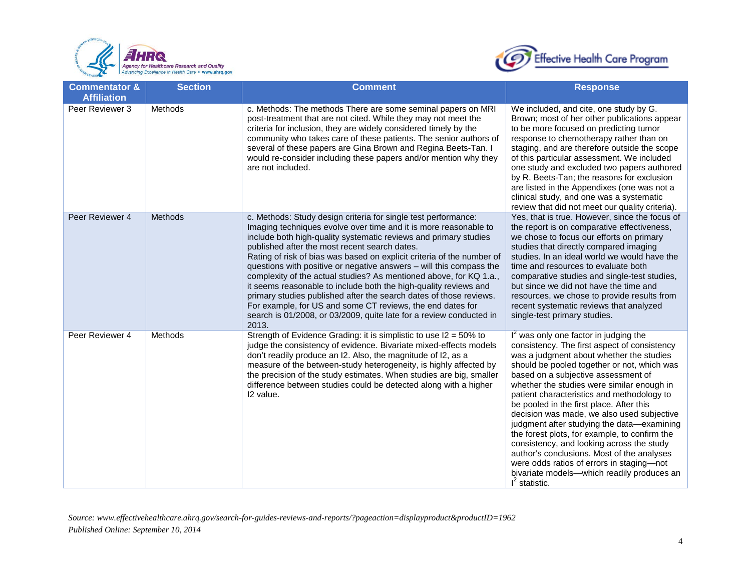



| <b>Commentator &amp;</b><br><b>Affiliation</b> | <b>Section</b> | <b>Comment</b>                                                                                                                                                                                                                                                                                                                                                                                                                                                                                                                                                                                                                                                                                                                                                         | <b>Response</b>                                                                                                                                                                                                                                                                                                                                                                                                                                                                                                                                                                                                                                                                                                          |
|------------------------------------------------|----------------|------------------------------------------------------------------------------------------------------------------------------------------------------------------------------------------------------------------------------------------------------------------------------------------------------------------------------------------------------------------------------------------------------------------------------------------------------------------------------------------------------------------------------------------------------------------------------------------------------------------------------------------------------------------------------------------------------------------------------------------------------------------------|--------------------------------------------------------------------------------------------------------------------------------------------------------------------------------------------------------------------------------------------------------------------------------------------------------------------------------------------------------------------------------------------------------------------------------------------------------------------------------------------------------------------------------------------------------------------------------------------------------------------------------------------------------------------------------------------------------------------------|
| Peer Reviewer 3                                | Methods        | c. Methods: The methods There are some seminal papers on MRI<br>post-treatment that are not cited. While they may not meet the<br>criteria for inclusion, they are widely considered timely by the<br>community who takes care of these patients. The senior authors of<br>several of these papers are Gina Brown and Regina Beets-Tan. I<br>would re-consider including these papers and/or mention why they<br>are not included.                                                                                                                                                                                                                                                                                                                                     | We included, and cite, one study by G.<br>Brown; most of her other publications appear<br>to be more focused on predicting tumor<br>response to chemotherapy rather than on<br>staging, and are therefore outside the scope<br>of this particular assessment. We included<br>one study and excluded two papers authored<br>by R. Beets-Tan; the reasons for exclusion<br>are listed in the Appendixes (one was not a<br>clinical study, and one was a systematic<br>review that did not meet our quality criteria).                                                                                                                                                                                                      |
| Peer Reviewer 4                                | Methods        | c. Methods: Study design criteria for single test performance:<br>Imaging techniques evolve over time and it is more reasonable to<br>include both high-quality systematic reviews and primary studies<br>published after the most recent search dates.<br>Rating of risk of bias was based on explicit criteria of the number of<br>questions with positive or negative answers - will this compass the<br>complexity of the actual studies? As mentioned above, for KQ 1.a.,<br>it seems reasonable to include both the high-quality reviews and<br>primary studies published after the search dates of those reviews.<br>For example, for US and some CT reviews, the end dates for<br>search is 01/2008, or 03/2009, quite late for a review conducted in<br>2013. | Yes, that is true. However, since the focus of<br>the report is on comparative effectiveness,<br>we chose to focus our efforts on primary<br>studies that directly compared imaging<br>studies. In an ideal world we would have the<br>time and resources to evaluate both<br>comparative studies and single-test studies,<br>but since we did not have the time and<br>resources, we chose to provide results from<br>recent systematic reviews that analyzed<br>single-test primary studies.                                                                                                                                                                                                                           |
| Peer Reviewer 4                                | Methods        | Strength of Evidence Grading: it is simplistic to use $12 = 50\%$ to<br>judge the consistency of evidence. Bivariate mixed-effects models<br>don't readily produce an I2. Also, the magnitude of I2, as a<br>measure of the between-study heterogeneity, is highly affected by<br>the precision of the study estimates. When studies are big, smaller<br>difference between studies could be detected along with a higher<br>I2 value.                                                                                                                                                                                                                                                                                                                                 | $I^2$ was only one factor in judging the<br>consistency. The first aspect of consistency<br>was a judgment about whether the studies<br>should be pooled together or not, which was<br>based on a subjective assessment of<br>whether the studies were similar enough in<br>patient characteristics and methodology to<br>be pooled in the first place. After this<br>decision was made, we also used subjective<br>judgment after studying the data-examining<br>the forest plots, for example, to confirm the<br>consistency, and looking across the study<br>author's conclusions. Most of the analyses<br>were odds ratios of errors in staging-not<br>bivariate models-which readily produces an<br>$I2$ statistic. |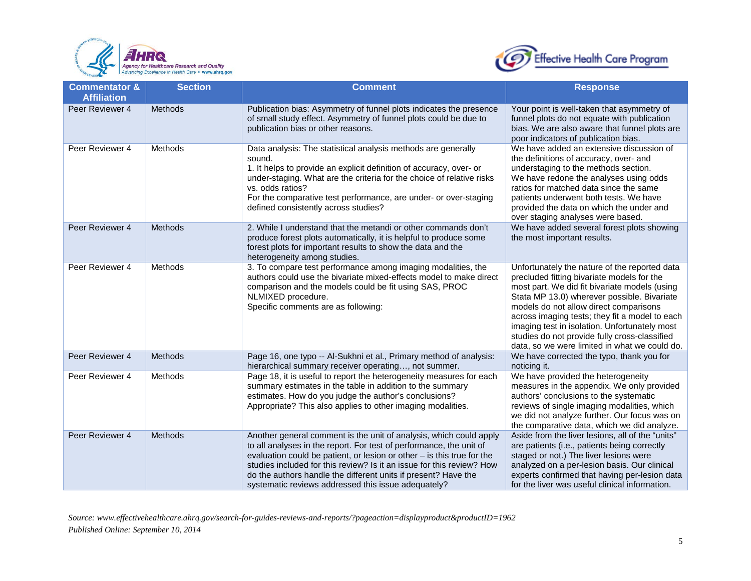



| <b>Commentator &amp;</b><br><b>Affiliation</b> | <b>Section</b> | <b>Comment</b>                                                                                                                                                                                                                                                                                                                                                                                                          | <b>Response</b>                                                                                                                                                                                                                                                                                                                                                                                                                            |
|------------------------------------------------|----------------|-------------------------------------------------------------------------------------------------------------------------------------------------------------------------------------------------------------------------------------------------------------------------------------------------------------------------------------------------------------------------------------------------------------------------|--------------------------------------------------------------------------------------------------------------------------------------------------------------------------------------------------------------------------------------------------------------------------------------------------------------------------------------------------------------------------------------------------------------------------------------------|
| Peer Reviewer 4                                | Methods        | Publication bias: Asymmetry of funnel plots indicates the presence<br>of small study effect. Asymmetry of funnel plots could be due to<br>publication bias or other reasons.                                                                                                                                                                                                                                            | Your point is well-taken that asymmetry of<br>funnel plots do not equate with publication<br>bias. We are also aware that funnel plots are<br>poor indicators of publication bias.                                                                                                                                                                                                                                                         |
| Peer Reviewer 4                                | Methods        | Data analysis: The statistical analysis methods are generally<br>sound.<br>1. It helps to provide an explicit definition of accuracy, over- or<br>under-staging. What are the criteria for the choice of relative risks<br>vs. odds ratios?<br>For the comparative test performance, are under- or over-staging<br>defined consistently across studies?                                                                 | We have added an extensive discussion of<br>the definitions of accuracy, over- and<br>understaging to the methods section.<br>We have redone the analyses using odds<br>ratios for matched data since the same<br>patients underwent both tests. We have<br>provided the data on which the under and<br>over staging analyses were based.                                                                                                  |
| Peer Reviewer 4                                | Methods        | 2. While I understand that the metandi or other commands don't<br>produce forest plots automatically, it is helpful to produce some<br>forest plots for important results to show the data and the<br>heterogeneity among studies.                                                                                                                                                                                      | We have added several forest plots showing<br>the most important results.                                                                                                                                                                                                                                                                                                                                                                  |
| Peer Reviewer 4                                | Methods        | 3. To compare test performance among imaging modalities, the<br>authors could use the bivariate mixed-effects model to make direct<br>comparison and the models could be fit using SAS, PROC<br>NLMIXED procedure.<br>Specific comments are as following:                                                                                                                                                               | Unfortunately the nature of the reported data<br>precluded fitting bivariate models for the<br>most part. We did fit bivariate models (using<br>Stata MP 13.0) wherever possible. Bivariate<br>models do not allow direct comparisons<br>across imaging tests; they fit a model to each<br>imaging test in isolation. Unfortunately most<br>studies do not provide fully cross-classified<br>data, so we were limited in what we could do. |
| Peer Reviewer 4                                | Methods        | Page 16, one typo -- Al-Sukhni et al., Primary method of analysis:<br>hierarchical summary receiver operating, not summer.                                                                                                                                                                                                                                                                                              | We have corrected the typo, thank you for<br>noticing it.                                                                                                                                                                                                                                                                                                                                                                                  |
| Peer Reviewer 4                                | Methods        | Page 18, it is useful to report the heterogeneity measures for each<br>summary estimates in the table in addition to the summary<br>estimates. How do you judge the author's conclusions?<br>Appropriate? This also applies to other imaging modalities.                                                                                                                                                                | We have provided the heterogeneity<br>measures in the appendix. We only provided<br>authors' conclusions to the systematic<br>reviews of single imaging modalities, which<br>we did not analyze further. Our focus was on<br>the comparative data, which we did analyze.                                                                                                                                                                   |
| Peer Reviewer 4                                | Methods        | Another general comment is the unit of analysis, which could apply<br>to all analyses in the report. For test of performance, the unit of<br>evaluation could be patient, or lesion or other $-$ is this true for the<br>studies included for this review? Is it an issue for this review? How<br>do the authors handle the different units if present? Have the<br>systematic reviews addressed this issue adequately? | Aside from the liver lesions, all of the "units"<br>are patients (i.e., patients being correctly<br>staged or not.) The liver lesions were<br>analyzed on a per-lesion basis. Our clinical<br>experts confirmed that having per-lesion data<br>for the liver was useful clinical information.                                                                                                                                              |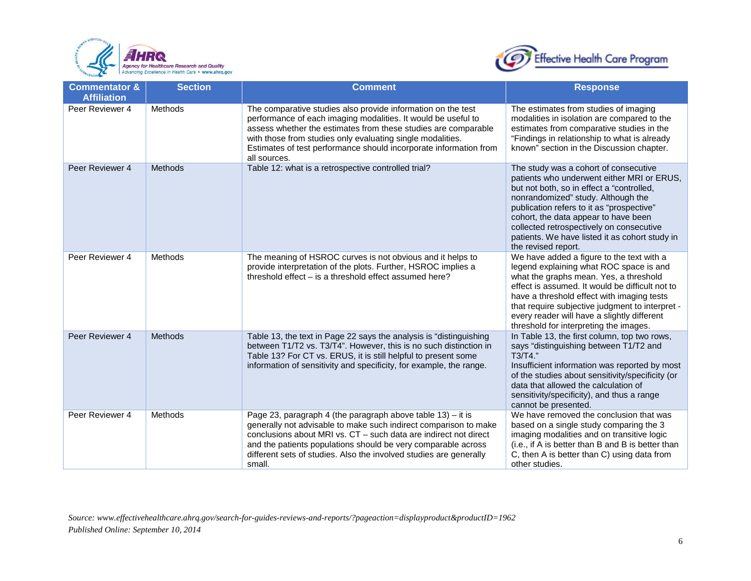



| <b>Commentator &amp;</b><br><b>Affiliation</b> | <b>Section</b> | <b>Comment</b>                                                                                                                                                                                                                                                                                                                                       | <b>Response</b>                                                                                                                                                                                                                                                                                                                                                                  |
|------------------------------------------------|----------------|------------------------------------------------------------------------------------------------------------------------------------------------------------------------------------------------------------------------------------------------------------------------------------------------------------------------------------------------------|----------------------------------------------------------------------------------------------------------------------------------------------------------------------------------------------------------------------------------------------------------------------------------------------------------------------------------------------------------------------------------|
| Peer Reviewer 4                                | Methods        | The comparative studies also provide information on the test<br>performance of each imaging modalities. It would be useful to<br>assess whether the estimates from these studies are comparable<br>with those from studies only evaluating single modalities.<br>Estimates of test performance should incorporate information from<br>all sources.   | The estimates from studies of imaging<br>modalities in isolation are compared to the<br>estimates from comparative studies in the<br>"Findings in relationship to what is already<br>known" section in the Discussion chapter.                                                                                                                                                   |
| Peer Reviewer 4                                | Methods        | Table 12: what is a retrospective controlled trial?                                                                                                                                                                                                                                                                                                  | The study was a cohort of consecutive<br>patients who underwent either MRI or ERUS,<br>but not both, so in effect a "controlled,<br>nonrandomized" study. Although the<br>publication refers to it as "prospective"<br>cohort, the data appear to have been<br>collected retrospectively on consecutive<br>patients. We have listed it as cohort study in<br>the revised report. |
| Peer Reviewer 4                                | Methods        | The meaning of HSROC curves is not obvious and it helps to<br>provide interpretation of the plots. Further, HSROC implies a<br>threshold effect – is a threshold effect assumed here?                                                                                                                                                                | We have added a figure to the text with a<br>legend explaining what ROC space is and<br>what the graphs mean. Yes, a threshold<br>effect is assumed. It would be difficult not to<br>have a threshold effect with imaging tests<br>that require subjective judgment to interpret -<br>every reader will have a slightly different<br>threshold for interpreting the images.      |
| Peer Reviewer 4                                | <b>Methods</b> | Table 13, the text in Page 22 says the analysis is "distinguishing<br>between T1/T2 vs. T3/T4". However, this is no such distinction in<br>Table 13? For CT vs. ERUS, it is still helpful to present some<br>information of sensitivity and specificity, for example, the range.                                                                     | In Table 13, the first column, top two rows,<br>says "distinguishing between T1/T2 and<br>T3/T4."<br>Insufficient information was reported by most<br>of the studies about sensitivity/specificity (or<br>data that allowed the calculation of<br>sensitivity/specificity), and thus a range<br>cannot be presented.                                                             |
| Peer Reviewer 4                                | Methods        | Page 23, paragraph 4 (the paragraph above table 13) - it is<br>generally not advisable to make such indirect comparison to make<br>conclusions about MRI vs. CT - such data are indirect not direct<br>and the patients populations should be very comparable across<br>different sets of studies. Also the involved studies are generally<br>small. | We have removed the conclusion that was<br>based on a single study comparing the 3<br>imaging modalities and on transitive logic<br>(i.e., if A is better than B and B is better than<br>C, then A is better than C) using data from<br>other studies.                                                                                                                           |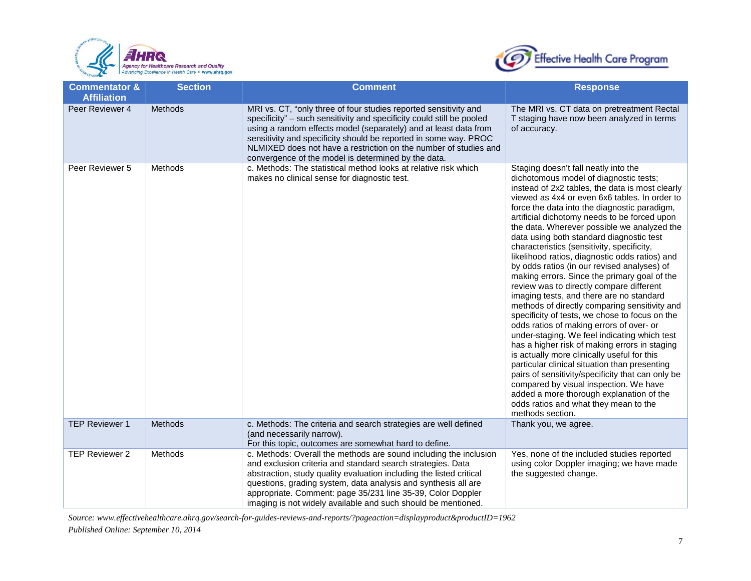



| <b>Commentator &amp;</b><br><b>Affiliation</b> | <b>Section</b> | <b>Comment</b>                                                                                                                                                                                                                                                                                                                                                                                               | <b>Response</b>                                                                                                                                                                                                                                                                                                                                                                                                                                                                                                                                                                                                                                                                                                                                                                                                                                                                                                                                                                                                                                                                                                                                                                                                              |
|------------------------------------------------|----------------|--------------------------------------------------------------------------------------------------------------------------------------------------------------------------------------------------------------------------------------------------------------------------------------------------------------------------------------------------------------------------------------------------------------|------------------------------------------------------------------------------------------------------------------------------------------------------------------------------------------------------------------------------------------------------------------------------------------------------------------------------------------------------------------------------------------------------------------------------------------------------------------------------------------------------------------------------------------------------------------------------------------------------------------------------------------------------------------------------------------------------------------------------------------------------------------------------------------------------------------------------------------------------------------------------------------------------------------------------------------------------------------------------------------------------------------------------------------------------------------------------------------------------------------------------------------------------------------------------------------------------------------------------|
| Peer Reviewer 4                                | <b>Methods</b> | MRI vs. CT, "only three of four studies reported sensitivity and<br>specificity" - such sensitivity and specificity could still be pooled<br>using a random effects model (separately) and at least data from<br>sensitivity and specificity should be reported in some way. PROC<br>NLMIXED does not have a restriction on the number of studies and<br>convergence of the model is determined by the data. | The MRI vs. CT data on pretreatment Rectal<br>T staging have now been analyzed in terms<br>of accuracy.                                                                                                                                                                                                                                                                                                                                                                                                                                                                                                                                                                                                                                                                                                                                                                                                                                                                                                                                                                                                                                                                                                                      |
| Peer Reviewer 5                                | Methods        | c. Methods: The statistical method looks at relative risk which<br>makes no clinical sense for diagnostic test.                                                                                                                                                                                                                                                                                              | Staging doesn't fall neatly into the<br>dichotomous model of diagnostic tests;<br>instead of 2x2 tables, the data is most clearly<br>viewed as 4x4 or even 6x6 tables. In order to<br>force the data into the diagnostic paradigm,<br>artificial dichotomy needs to be forced upon<br>the data. Wherever possible we analyzed the<br>data using both standard diagnostic test<br>characteristics (sensitivity, specificity,<br>likelihood ratios, diagnostic odds ratios) and<br>by odds ratios (in our revised analyses) of<br>making errors. Since the primary goal of the<br>review was to directly compare different<br>imaging tests, and there are no standard<br>methods of directly comparing sensitivity and<br>specificity of tests, we chose to focus on the<br>odds ratios of making errors of over- or<br>under-staging. We feel indicating which test<br>has a higher risk of making errors in staging<br>is actually more clinically useful for this<br>particular clinical situation than presenting<br>pairs of sensitivity/specificity that can only be<br>compared by visual inspection. We have<br>added a more thorough explanation of the<br>odds ratios and what they mean to the<br>methods section. |
| <b>TEP Reviewer 1</b>                          | Methods        | c. Methods: The criteria and search strategies are well defined<br>(and necessarily narrow).<br>For this topic, outcomes are somewhat hard to define.                                                                                                                                                                                                                                                        | Thank you, we agree.                                                                                                                                                                                                                                                                                                                                                                                                                                                                                                                                                                                                                                                                                                                                                                                                                                                                                                                                                                                                                                                                                                                                                                                                         |
| <b>TEP Reviewer 2</b>                          | Methods        | c. Methods: Overall the methods are sound including the inclusion<br>and exclusion criteria and standard search strategies. Data<br>abstraction, study quality evaluation including the listed critical<br>questions, grading system, data analysis and synthesis all are<br>appropriate. Comment: page 35/231 line 35-39, Color Doppler<br>imaging is not widely available and such should be mentioned.    | Yes, none of the included studies reported<br>using color Doppler imaging; we have made<br>the suggested change.                                                                                                                                                                                                                                                                                                                                                                                                                                                                                                                                                                                                                                                                                                                                                                                                                                                                                                                                                                                                                                                                                                             |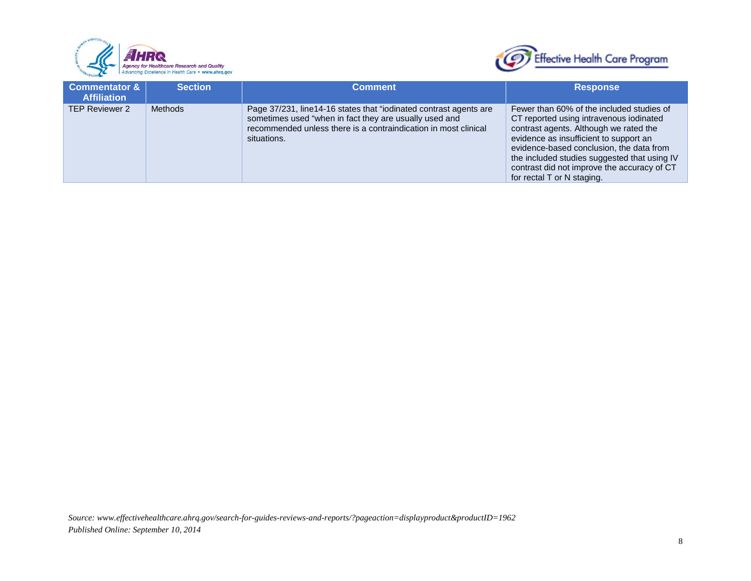



| <b>Commentator &amp;</b><br><b>Affiliation</b> | <b>Section</b> | <b>Comment</b>                                                                                                                                                                                                | <b>Response</b>                                                                                                                                                                                                                                                                                                                                   |
|------------------------------------------------|----------------|---------------------------------------------------------------------------------------------------------------------------------------------------------------------------------------------------------------|---------------------------------------------------------------------------------------------------------------------------------------------------------------------------------------------------------------------------------------------------------------------------------------------------------------------------------------------------|
| <b>TEP Reviewer 2</b>                          | <b>Methods</b> | Page 37/231, line14-16 states that "iodinated contrast agents are<br>sometimes used "when in fact they are usually used and<br>recommended unless there is a contraindication in most clinical<br>situations. | Fewer than 60% of the included studies of<br>CT reported using intravenous iodinated<br>contrast agents. Although we rated the<br>evidence as insufficient to support an<br>evidence-based conclusion, the data from<br>the included studies suggested that using IV<br>contrast did not improve the accuracy of CT<br>for rectal T or N staging. |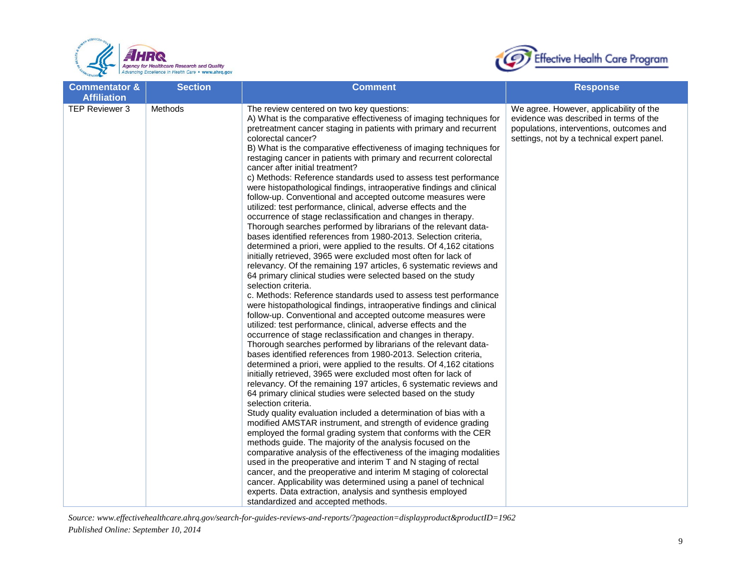



| <b>Commentator &amp;</b><br><b>Affiliation</b> | <b>Section</b> | <b>Comment</b>                                                                                                                                                                                                                                                                                                                                                                                                                                                                                                                                                                                                                                                                                                                                                                                                                                                                                                                                                                                                                                                                                                                                                                                                                                                                                                                                                                                                                                                                                                                                                                                                                                                                                                                                                                                                                                                                                                                                                                                                                                                                                                                                                                                                                                                                                                                                                                                                                                                                                                                                                                                                                   | <b>Response</b>                                                                                                                                                             |
|------------------------------------------------|----------------|----------------------------------------------------------------------------------------------------------------------------------------------------------------------------------------------------------------------------------------------------------------------------------------------------------------------------------------------------------------------------------------------------------------------------------------------------------------------------------------------------------------------------------------------------------------------------------------------------------------------------------------------------------------------------------------------------------------------------------------------------------------------------------------------------------------------------------------------------------------------------------------------------------------------------------------------------------------------------------------------------------------------------------------------------------------------------------------------------------------------------------------------------------------------------------------------------------------------------------------------------------------------------------------------------------------------------------------------------------------------------------------------------------------------------------------------------------------------------------------------------------------------------------------------------------------------------------------------------------------------------------------------------------------------------------------------------------------------------------------------------------------------------------------------------------------------------------------------------------------------------------------------------------------------------------------------------------------------------------------------------------------------------------------------------------------------------------------------------------------------------------------------------------------------------------------------------------------------------------------------------------------------------------------------------------------------------------------------------------------------------------------------------------------------------------------------------------------------------------------------------------------------------------------------------------------------------------------------------------------------------------|-----------------------------------------------------------------------------------------------------------------------------------------------------------------------------|
| TEP Reviewer 3                                 | Methods        | The review centered on two key questions:<br>A) What is the comparative effectiveness of imaging techniques for<br>pretreatment cancer staging in patients with primary and recurrent<br>colorectal cancer?<br>B) What is the comparative effectiveness of imaging techniques for<br>restaging cancer in patients with primary and recurrent colorectal<br>cancer after initial treatment?<br>c) Methods: Reference standards used to assess test performance<br>were histopathological findings, intraoperative findings and clinical<br>follow-up. Conventional and accepted outcome measures were<br>utilized: test performance, clinical, adverse effects and the<br>occurrence of stage reclassification and changes in therapy.<br>Thorough searches performed by librarians of the relevant data-<br>bases identified references from 1980-2013. Selection criteria,<br>determined a priori, were applied to the results. Of 4,162 citations<br>initially retrieved, 3965 were excluded most often for lack of<br>relevancy. Of the remaining 197 articles, 6 systematic reviews and<br>64 primary clinical studies were selected based on the study<br>selection criteria.<br>c. Methods: Reference standards used to assess test performance<br>were histopathological findings, intraoperative findings and clinical<br>follow-up. Conventional and accepted outcome measures were<br>utilized: test performance, clinical, adverse effects and the<br>occurrence of stage reclassification and changes in therapy.<br>Thorough searches performed by librarians of the relevant data-<br>bases identified references from 1980-2013. Selection criteria,<br>determined a priori, were applied to the results. Of 4,162 citations<br>initially retrieved, 3965 were excluded most often for lack of<br>relevancy. Of the remaining 197 articles, 6 systematic reviews and<br>64 primary clinical studies were selected based on the study<br>selection criteria.<br>Study quality evaluation included a determination of bias with a<br>modified AMSTAR instrument, and strength of evidence grading<br>employed the formal grading system that conforms with the CER<br>methods guide. The majority of the analysis focused on the<br>comparative analysis of the effectiveness of the imaging modalities<br>used in the preoperative and interim T and N staging of rectal<br>cancer, and the preoperative and interim M staging of colorectal<br>cancer. Applicability was determined using a panel of technical<br>experts. Data extraction, analysis and synthesis employed<br>standardized and accepted methods. | We agree. However, applicability of the<br>evidence was described in terms of the<br>populations, interventions, outcomes and<br>settings, not by a technical expert panel. |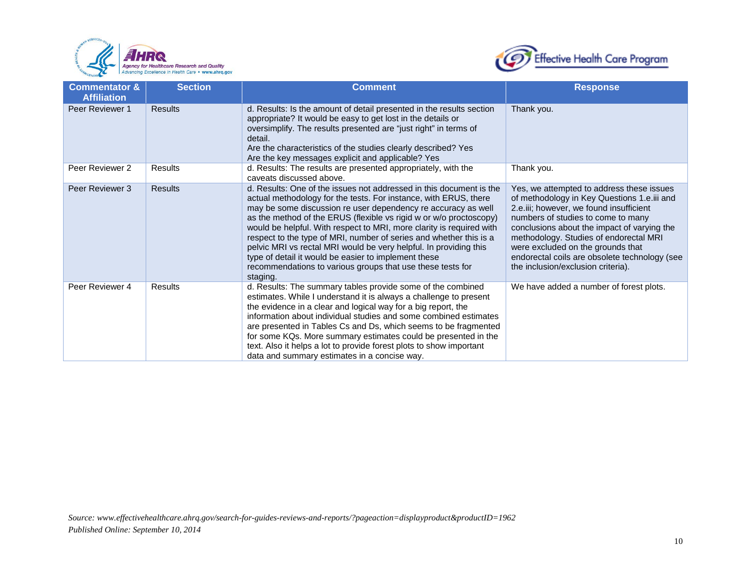



| <b>Commentator &amp;</b><br><b>Affiliation</b> | <b>Section</b> | <b>Comment</b>                                                                                                                                                                                                                                                                                                                                                                                                                                                                                                                                                                                                                      | <b>Response</b>                                                                                                                                                                                                                                                                                                                                                                                |
|------------------------------------------------|----------------|-------------------------------------------------------------------------------------------------------------------------------------------------------------------------------------------------------------------------------------------------------------------------------------------------------------------------------------------------------------------------------------------------------------------------------------------------------------------------------------------------------------------------------------------------------------------------------------------------------------------------------------|------------------------------------------------------------------------------------------------------------------------------------------------------------------------------------------------------------------------------------------------------------------------------------------------------------------------------------------------------------------------------------------------|
| Peer Reviewer 1                                | <b>Results</b> | d. Results: Is the amount of detail presented in the results section<br>appropriate? It would be easy to get lost in the details or<br>oversimplify. The results presented are "just right" in terms of<br>detail.<br>Are the characteristics of the studies clearly described? Yes<br>Are the key messages explicit and applicable? Yes                                                                                                                                                                                                                                                                                            | Thank you.                                                                                                                                                                                                                                                                                                                                                                                     |
| Peer Reviewer 2                                | <b>Results</b> | d. Results: The results are presented appropriately, with the<br>caveats discussed above.                                                                                                                                                                                                                                                                                                                                                                                                                                                                                                                                           | Thank you.                                                                                                                                                                                                                                                                                                                                                                                     |
| Peer Reviewer 3                                | <b>Results</b> | d. Results: One of the issues not addressed in this document is the<br>actual methodology for the tests. For instance, with ERUS, there<br>may be some discussion re user dependency re accuracy as well<br>as the method of the ERUS (flexible vs rigid w or w/o proctoscopy)<br>would be helpful. With respect to MRI, more clarity is required with<br>respect to the type of MRI, number of series and whether this is a<br>pelvic MRI vs rectal MRI would be very helpful. In providing this<br>type of detail it would be easier to implement these<br>recommendations to various groups that use these tests for<br>staging. | Yes, we attempted to address these issues<br>of methodology in Key Questions 1.e.iii and<br>2.e.iii; however, we found insufficient<br>numbers of studies to come to many<br>conclusions about the impact of varying the<br>methodology. Studies of endorectal MRI<br>were excluded on the grounds that<br>endorectal coils are obsolete technology (see<br>the inclusion/exclusion criteria). |
| Peer Reviewer 4                                | <b>Results</b> | d. Results: The summary tables provide some of the combined<br>estimates. While I understand it is always a challenge to present<br>the evidence in a clear and logical way for a big report, the<br>information about individual studies and some combined estimates<br>are presented in Tables Cs and Ds, which seems to be fragmented<br>for some KQs. More summary estimates could be presented in the<br>text. Also it helps a lot to provide forest plots to show important<br>data and summary estimates in a concise way.                                                                                                   | We have added a number of forest plots.                                                                                                                                                                                                                                                                                                                                                        |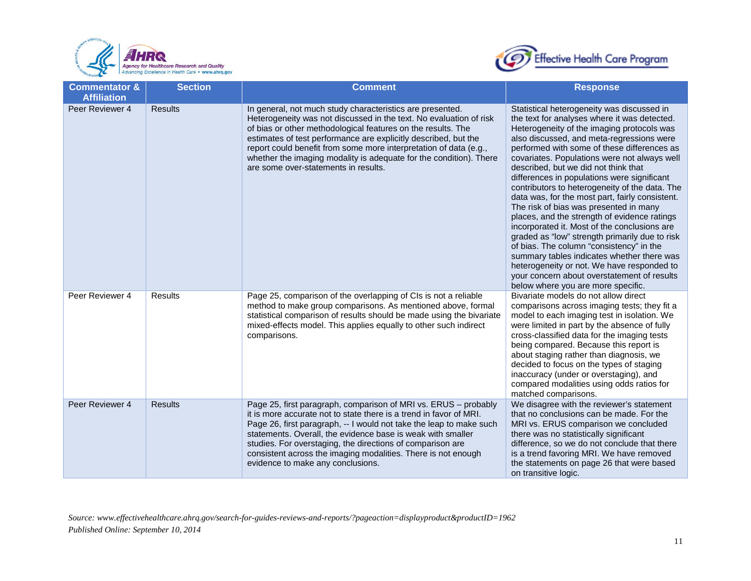



| <b>Commentator &amp;</b><br><b>Affiliation</b> | <b>Section</b> | <b>Comment</b>                                                                                                                                                                                                                                                                                                                                                                                                                                        | <b>Response</b>                                                                                                                                                                                                                                                                                                                                                                                                                                                                                                                                                                                                                                                                                                                                                                                                                                                                                           |
|------------------------------------------------|----------------|-------------------------------------------------------------------------------------------------------------------------------------------------------------------------------------------------------------------------------------------------------------------------------------------------------------------------------------------------------------------------------------------------------------------------------------------------------|-----------------------------------------------------------------------------------------------------------------------------------------------------------------------------------------------------------------------------------------------------------------------------------------------------------------------------------------------------------------------------------------------------------------------------------------------------------------------------------------------------------------------------------------------------------------------------------------------------------------------------------------------------------------------------------------------------------------------------------------------------------------------------------------------------------------------------------------------------------------------------------------------------------|
| Peer Reviewer 4                                | <b>Results</b> | In general, not much study characteristics are presented.<br>Heterogeneity was not discussed in the text. No evaluation of risk<br>of bias or other methodological features on the results. The<br>estimates of test performance are explicitly described, but the<br>report could benefit from some more interpretation of data (e.g.,<br>whether the imaging modality is adequate for the condition). There<br>are some over-statements in results. | Statistical heterogeneity was discussed in<br>the text for analyses where it was detected.<br>Heterogeneity of the imaging protocols was<br>also discussed, and meta-regressions were<br>performed with some of these differences as<br>covariates. Populations were not always well<br>described, but we did not think that<br>differences in populations were significant<br>contributors to heterogeneity of the data. The<br>data was, for the most part, fairly consistent.<br>The risk of bias was presented in many<br>places, and the strength of evidence ratings<br>incorporated it. Most of the conclusions are<br>graded as "low" strength primarily due to risk<br>of bias. The column "consistency" in the<br>summary tables indicates whether there was<br>heterogeneity or not. We have responded to<br>your concern about overstatement of results<br>below where you are more specific. |
| Peer Reviewer 4                                | Results        | Page 25, comparison of the overlapping of CIs is not a reliable<br>method to make group comparisons. As mentioned above, formal<br>statistical comparison of results should be made using the bivariate<br>mixed-effects model. This applies equally to other such indirect<br>comparisons.                                                                                                                                                           | Bivariate models do not allow direct<br>comparisons across imaging tests; they fit a<br>model to each imaging test in isolation. We<br>were limited in part by the absence of fully<br>cross-classified data for the imaging tests<br>being compared. Because this report is<br>about staging rather than diagnosis, we<br>decided to focus on the types of staging<br>inaccuracy (under or overstaging), and<br>compared modalities using odds ratios for<br>matched comparisons.                                                                                                                                                                                                                                                                                                                                                                                                                        |
| Peer Reviewer 4                                | <b>Results</b> | Page 25, first paragraph, comparison of MRI vs. ERUS - probably<br>it is more accurate not to state there is a trend in favor of MRI.<br>Page 26, first paragraph, -- I would not take the leap to make such<br>statements. Overall, the evidence base is weak with smaller<br>studies. For overstaging, the directions of comparison are<br>consistent across the imaging modalities. There is not enough<br>evidence to make any conclusions.       | We disagree with the reviewer's statement<br>that no conclusions can be made. For the<br>MRI vs. ERUS comparison we concluded<br>there was no statistically significant<br>difference, so we do not conclude that there<br>is a trend favoring MRI. We have removed<br>the statements on page 26 that were based<br>on transitive logic.                                                                                                                                                                                                                                                                                                                                                                                                                                                                                                                                                                  |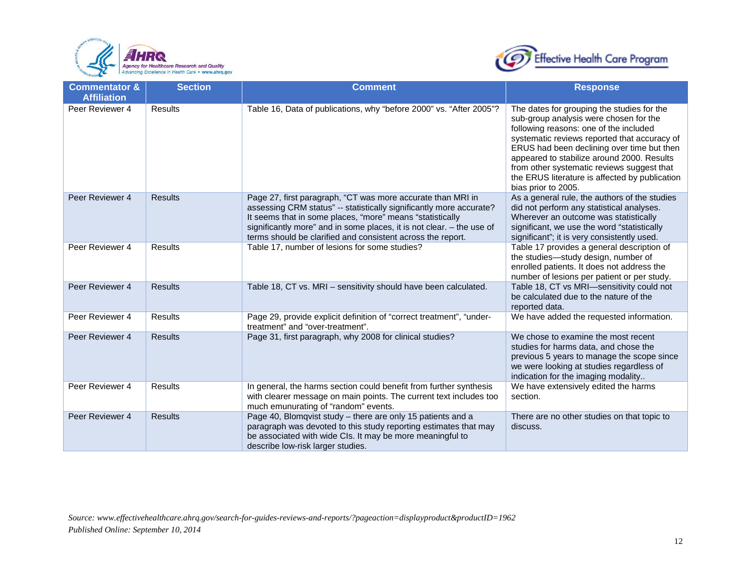



| <b>Commentator &amp;</b><br><b>Affiliation</b> | <b>Section</b> | <b>Comment</b>                                                                                                                                                                                                                                                                                                                          | <b>Response</b>                                                                                                                                                                                                                                                                                                                                                                                   |
|------------------------------------------------|----------------|-----------------------------------------------------------------------------------------------------------------------------------------------------------------------------------------------------------------------------------------------------------------------------------------------------------------------------------------|---------------------------------------------------------------------------------------------------------------------------------------------------------------------------------------------------------------------------------------------------------------------------------------------------------------------------------------------------------------------------------------------------|
| Peer Reviewer 4                                | <b>Results</b> | Table 16, Data of publications, why "before 2000" vs. "After 2005"?                                                                                                                                                                                                                                                                     | The dates for grouping the studies for the<br>sub-group analysis were chosen for the<br>following reasons: one of the included<br>systematic reviews reported that accuracy of<br>ERUS had been declining over time but then<br>appeared to stabilize around 2000. Results<br>from other systematic reviews suggest that<br>the ERUS literature is affected by publication<br>bias prior to 2005. |
| Peer Reviewer 4                                | <b>Results</b> | Page 27, first paragraph, "CT was more accurate than MRI in<br>assessing CRM status" -- statistically significantly more accurate?<br>It seems that in some places, "more" means "statistically<br>significantly more" and in some places, it is not clear. - the use of<br>terms should be clarified and consistent across the report. | As a general rule, the authors of the studies<br>did not perform any statistical analyses.<br>Wherever an outcome was statistically<br>significant, we use the word "statistically<br>significant"; it is very consistently used.                                                                                                                                                                 |
| Peer Reviewer 4                                | <b>Results</b> | Table 17, number of lesions for some studies?                                                                                                                                                                                                                                                                                           | Table 17 provides a general description of<br>the studies-study design, number of<br>enrolled patients. It does not address the<br>number of lesions per patient or per study.                                                                                                                                                                                                                    |
| Peer Reviewer 4                                | <b>Results</b> | Table 18, CT vs. MRI - sensitivity should have been calculated.                                                                                                                                                                                                                                                                         | Table 18, CT vs MRI-sensitivity could not<br>be calculated due to the nature of the<br>reported data.                                                                                                                                                                                                                                                                                             |
| Peer Reviewer 4                                | <b>Results</b> | Page 29, provide explicit definition of "correct treatment", "under-<br>treatment" and "over-treatment".                                                                                                                                                                                                                                | We have added the requested information.                                                                                                                                                                                                                                                                                                                                                          |
| Peer Reviewer 4                                | <b>Results</b> | Page 31, first paragraph, why 2008 for clinical studies?                                                                                                                                                                                                                                                                                | We chose to examine the most recent<br>studies for harms data, and chose the<br>previous 5 years to manage the scope since<br>we were looking at studies regardless of<br>indication for the imaging modality                                                                                                                                                                                     |
| Peer Reviewer 4                                | <b>Results</b> | In general, the harms section could benefit from further synthesis<br>with clearer message on main points. The current text includes too<br>much emunurating of "random" events.                                                                                                                                                        | We have extensively edited the harms<br>section.                                                                                                                                                                                                                                                                                                                                                  |
| Peer Reviewer 4                                | <b>Results</b> | Page 40, Blomqvist study - there are only 15 patients and a<br>paragraph was devoted to this study reporting estimates that may<br>be associated with wide CIs. It may be more meaningful to<br>describe low-risk larger studies.                                                                                                       | There are no other studies on that topic to<br>discuss.                                                                                                                                                                                                                                                                                                                                           |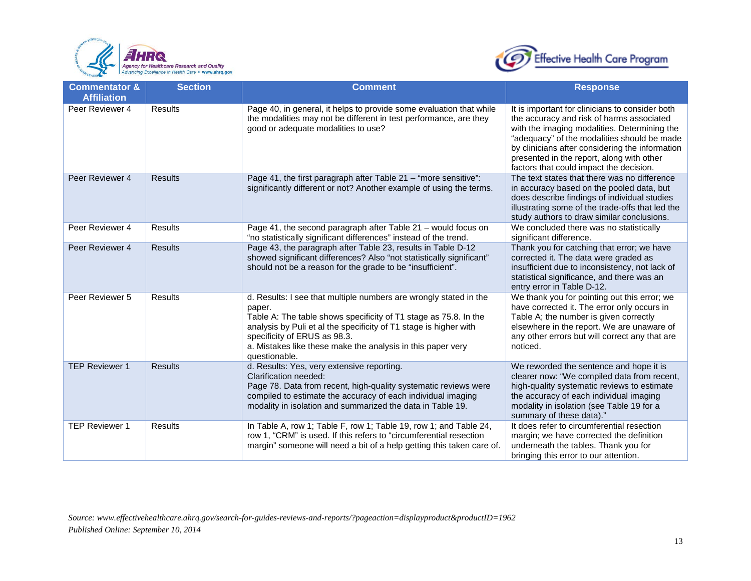



| <b>Commentator &amp;</b><br><b>Affiliation</b> | <b>Section</b> | <b>Comment</b>                                                                                                                                                                                                                                                                                                                       | <b>Response</b>                                                                                                                                                                                                                                                                                                                        |
|------------------------------------------------|----------------|--------------------------------------------------------------------------------------------------------------------------------------------------------------------------------------------------------------------------------------------------------------------------------------------------------------------------------------|----------------------------------------------------------------------------------------------------------------------------------------------------------------------------------------------------------------------------------------------------------------------------------------------------------------------------------------|
| Peer Reviewer 4                                | Results        | Page 40, in general, it helps to provide some evaluation that while<br>the modalities may not be different in test performance, are they<br>good or adequate modalities to use?                                                                                                                                                      | It is important for clinicians to consider both<br>the accuracy and risk of harms associated<br>with the imaging modalities. Determining the<br>"adequacy" of the modalities should be made<br>by clinicians after considering the information<br>presented in the report, along with other<br>factors that could impact the decision. |
| Peer Reviewer 4                                | <b>Results</b> | Page 41, the first paragraph after Table 21 - "more sensitive":<br>significantly different or not? Another example of using the terms.                                                                                                                                                                                               | The text states that there was no difference<br>in accuracy based on the pooled data, but<br>does describe findings of individual studies<br>illustrating some of the trade-offs that led the<br>study authors to draw similar conclusions.                                                                                            |
| Peer Reviewer 4                                | Results        | Page 41, the second paragraph after Table 21 – would focus on<br>"no statistically significant differences" instead of the trend.                                                                                                                                                                                                    | We concluded there was no statistically<br>significant difference.                                                                                                                                                                                                                                                                     |
| Peer Reviewer 4                                | <b>Results</b> | Page 43, the paragraph after Table 23, results in Table D-12<br>showed significant differences? Also "not statistically significant"<br>should not be a reason for the grade to be "insufficient".                                                                                                                                   | Thank you for catching that error; we have<br>corrected it. The data were graded as<br>insufficient due to inconsistency, not lack of<br>statistical significance, and there was an<br>entry error in Table D-12.                                                                                                                      |
| Peer Reviewer 5                                | Results        | d. Results: I see that multiple numbers are wrongly stated in the<br>paper.<br>Table A: The table shows specificity of T1 stage as 75.8. In the<br>analysis by Puli et al the specificity of T1 stage is higher with<br>specificity of ERUS as 98.3.<br>a. Mistakes like these make the analysis in this paper very<br>questionable. | We thank you for pointing out this error; we<br>have corrected it. The error only occurs in<br>Table A; the number is given correctly<br>elsewhere in the report. We are unaware of<br>any other errors but will correct any that are<br>noticed.                                                                                      |
| <b>TEP Reviewer 1</b>                          | <b>Results</b> | d. Results: Yes, very extensive reporting.<br>Clarification needed:<br>Page 78. Data from recent, high-quality systematic reviews were<br>compiled to estimate the accuracy of each individual imaging<br>modality in isolation and summarized the data in Table 19.                                                                 | We reworded the sentence and hope it is<br>clearer now: "We compiled data from recent,<br>high-quality systematic reviews to estimate<br>the accuracy of each individual imaging<br>modality in isolation (see Table 19 for a<br>summary of these data)."                                                                              |
| <b>TEP Reviewer 1</b>                          | Results        | In Table A, row 1; Table F, row 1; Table 19, row 1; and Table 24,<br>row 1, "CRM" is used. If this refers to "circumferential resection<br>margin" someone will need a bit of a help getting this taken care of.                                                                                                                     | It does refer to circumferential resection<br>margin; we have corrected the definition<br>underneath the tables. Thank you for<br>bringing this error to our attention.                                                                                                                                                                |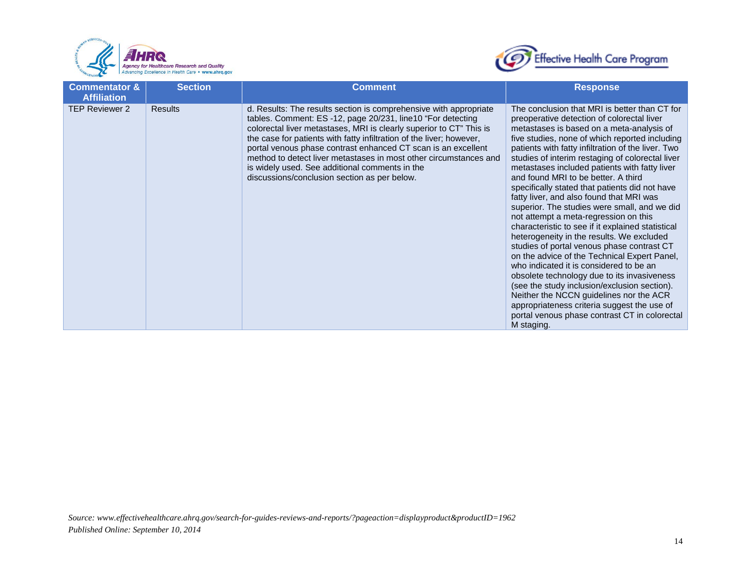



| <b>Commentator &amp;</b><br><b>Affiliation</b> | <b>Section</b> | <b>Comment</b>                                                                                                                                                                                                                                                                                                                                                                                                                                                                                                         | <b>Response</b>                                                                                                                                                                                                                                                                                                                                                                                                                                                                                                                                                                                                                                                                                                                                                                                                                                                                                                                                                                                                                                                                        |
|------------------------------------------------|----------------|------------------------------------------------------------------------------------------------------------------------------------------------------------------------------------------------------------------------------------------------------------------------------------------------------------------------------------------------------------------------------------------------------------------------------------------------------------------------------------------------------------------------|----------------------------------------------------------------------------------------------------------------------------------------------------------------------------------------------------------------------------------------------------------------------------------------------------------------------------------------------------------------------------------------------------------------------------------------------------------------------------------------------------------------------------------------------------------------------------------------------------------------------------------------------------------------------------------------------------------------------------------------------------------------------------------------------------------------------------------------------------------------------------------------------------------------------------------------------------------------------------------------------------------------------------------------------------------------------------------------|
| <b>TEP Reviewer 2</b>                          | <b>Results</b> | d. Results: The results section is comprehensive with appropriate<br>tables. Comment: ES-12, page 20/231, line10 "For detecting<br>colorectal liver metastases, MRI is clearly superior to CT" This is<br>the case for patients with fatty infiltration of the liver; however,<br>portal venous phase contrast enhanced CT scan is an excellent<br>method to detect liver metastases in most other circumstances and<br>is widely used. See additional comments in the<br>discussions/conclusion section as per below. | The conclusion that MRI is better than CT for<br>preoperative detection of colorectal liver<br>metastases is based on a meta-analysis of<br>five studies, none of which reported including<br>patients with fatty infiltration of the liver. Two<br>studies of interim restaging of colorectal liver<br>metastases included patients with fatty liver<br>and found MRI to be better. A third<br>specifically stated that patients did not have<br>fatty liver, and also found that MRI was<br>superior. The studies were small, and we did<br>not attempt a meta-regression on this<br>characteristic to see if it explained statistical<br>heterogeneity in the results. We excluded<br>studies of portal venous phase contrast CT<br>on the advice of the Technical Expert Panel,<br>who indicated it is considered to be an<br>obsolete technology due to its invasiveness<br>(see the study inclusion/exclusion section).<br>Neither the NCCN guidelines nor the ACR<br>appropriateness criteria suggest the use of<br>portal venous phase contrast CT in colorectal<br>M staging. |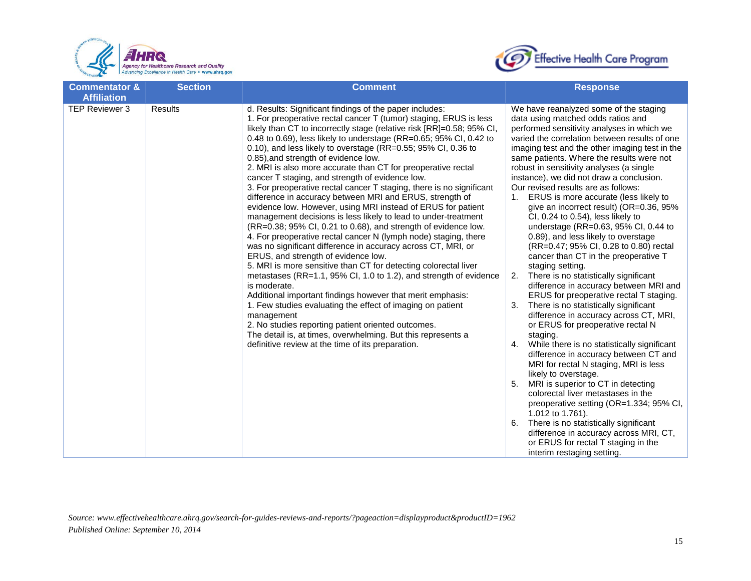



| <b>Commentator &amp;</b>             | <b>Section</b> | <b>Comment</b>                                                                                                                                                                                                                                                                                                                                                                                                                                                                                                                                                                                                                                                                                                                                                                                                                                                                                                                                                                                                                                                                                                                                                                                                                                                                                                                                                                                                                                                                                            | <b>Response</b>                                                                                                                                                                                                                                                                                                                                                                                                                                                                                                                                                                                                                                                                                                                                                                                                                                                                                                                                                                                                                                                                                                                                                                                                                                                                                                                                                                                                                                                                           |
|--------------------------------------|----------------|-----------------------------------------------------------------------------------------------------------------------------------------------------------------------------------------------------------------------------------------------------------------------------------------------------------------------------------------------------------------------------------------------------------------------------------------------------------------------------------------------------------------------------------------------------------------------------------------------------------------------------------------------------------------------------------------------------------------------------------------------------------------------------------------------------------------------------------------------------------------------------------------------------------------------------------------------------------------------------------------------------------------------------------------------------------------------------------------------------------------------------------------------------------------------------------------------------------------------------------------------------------------------------------------------------------------------------------------------------------------------------------------------------------------------------------------------------------------------------------------------------------|-------------------------------------------------------------------------------------------------------------------------------------------------------------------------------------------------------------------------------------------------------------------------------------------------------------------------------------------------------------------------------------------------------------------------------------------------------------------------------------------------------------------------------------------------------------------------------------------------------------------------------------------------------------------------------------------------------------------------------------------------------------------------------------------------------------------------------------------------------------------------------------------------------------------------------------------------------------------------------------------------------------------------------------------------------------------------------------------------------------------------------------------------------------------------------------------------------------------------------------------------------------------------------------------------------------------------------------------------------------------------------------------------------------------------------------------------------------------------------------------|
| <b>Affiliation</b><br>TEP Reviewer 3 | Results        | d. Results: Significant findings of the paper includes:<br>1. For preoperative rectal cancer T (tumor) staging, ERUS is less<br>likely than CT to incorrectly stage (relative risk [RR]=0.58; 95% CI,<br>0.48 to 0.69), less likely to understage (RR=0.65; 95% CI, 0.42 to<br>0.10), and less likely to overstage (RR=0.55; $95\%$ CI, 0.36 to<br>0.85), and strength of evidence low.<br>2. MRI is also more accurate than CT for preoperative rectal<br>cancer T staging, and strength of evidence low.<br>3. For preoperative rectal cancer T staging, there is no significant<br>difference in accuracy between MRI and ERUS, strength of<br>evidence low. However, using MRI instead of ERUS for patient<br>management decisions is less likely to lead to under-treatment<br>(RR=0.38; 95% CI, 0.21 to 0.68), and strength of evidence low.<br>4. For preoperative rectal cancer N (lymph node) staging, there<br>was no significant difference in accuracy across CT, MRI, or<br>ERUS, and strength of evidence low.<br>5. MRI is more sensitive than CT for detecting colorectal liver<br>metastases (RR=1.1, 95% CI, 1.0 to 1.2), and strength of evidence<br>is moderate.<br>Additional important findings however that merit emphasis:<br>1. Few studies evaluating the effect of imaging on patient<br>management<br>2. No studies reporting patient oriented outcomes.<br>The detail is, at times, overwhelming. But this represents a<br>definitive review at the time of its preparation. | We have reanalyzed some of the staging<br>data using matched odds ratios and<br>performed sensitivity analyses in which we<br>varied the correlation between results of one<br>imaging test and the other imaging test in the<br>same patients. Where the results were not<br>robust in sensitivity analyses (a single<br>instance), we did not draw a conclusion.<br>Our revised results are as follows:<br>ERUS is more accurate (less likely to<br>1.<br>give an incorrect result) (OR=0.36, 95%<br>CI, 0.24 to 0.54), less likely to<br>understage (RR=0.63, 95% CI, 0.44 to<br>0.89), and less likely to overstage<br>(RR=0.47; 95% CI, 0.28 to 0.80) rectal<br>cancer than CT in the preoperative T<br>staging setting.<br>2.<br>There is no statistically significant<br>difference in accuracy between MRI and<br>ERUS for preoperative rectal T staging.<br>There is no statistically significant<br>3.<br>difference in accuracy across CT, MRI,<br>or ERUS for preoperative rectal N<br>staging.<br>While there is no statistically significant<br>4.<br>difference in accuracy between CT and<br>MRI for rectal N staging, MRI is less<br>likely to overstage.<br>MRI is superior to CT in detecting<br>5.<br>colorectal liver metastases in the<br>preoperative setting (OR=1.334; 95% CI,<br>1.012 to 1.761).<br>There is no statistically significant<br>6.<br>difference in accuracy across MRI, CT,<br>or ERUS for rectal T staging in the<br>interim restaging setting. |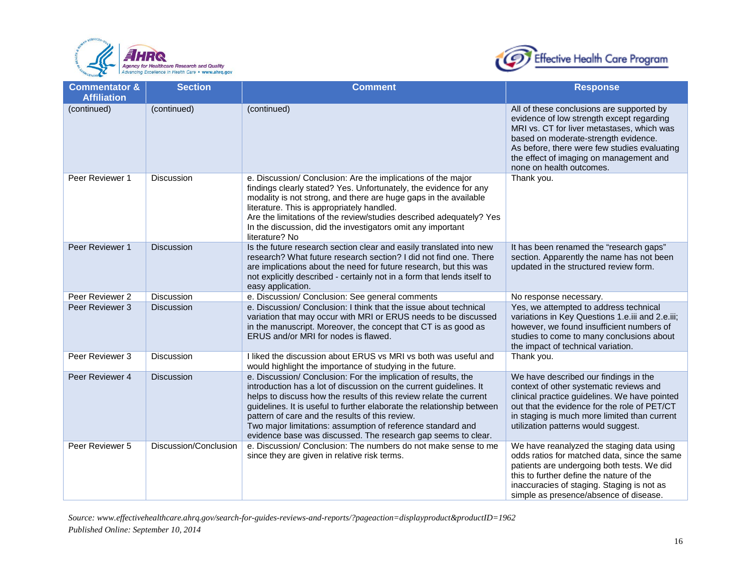



| <b>Commentator &amp;</b><br><b>Affiliation</b> | <b>Section</b>        | <b>Comment</b>                                                                                                                                                                                                                                                                                                                                                                                                                                                          | <b>Response</b>                                                                                                                                                                                                                                                                                     |
|------------------------------------------------|-----------------------|-------------------------------------------------------------------------------------------------------------------------------------------------------------------------------------------------------------------------------------------------------------------------------------------------------------------------------------------------------------------------------------------------------------------------------------------------------------------------|-----------------------------------------------------------------------------------------------------------------------------------------------------------------------------------------------------------------------------------------------------------------------------------------------------|
| (continued)                                    | (continued)           | (continued)                                                                                                                                                                                                                                                                                                                                                                                                                                                             | All of these conclusions are supported by<br>evidence of low strength except regarding<br>MRI vs. CT for liver metastases, which was<br>based on moderate-strength evidence.<br>As before, there were few studies evaluating<br>the effect of imaging on management and<br>none on health outcomes. |
| Peer Reviewer 1                                | <b>Discussion</b>     | e. Discussion/ Conclusion: Are the implications of the major<br>findings clearly stated? Yes. Unfortunately, the evidence for any<br>modality is not strong, and there are huge gaps in the available<br>literature. This is appropriately handled.<br>Are the limitations of the review/studies described adequately? Yes<br>In the discussion, did the investigators omit any important<br>literature? No                                                             | Thank you.                                                                                                                                                                                                                                                                                          |
| Peer Reviewer 1                                | Discussion            | Is the future research section clear and easily translated into new<br>research? What future research section? I did not find one. There<br>are implications about the need for future research, but this was<br>not explicitly described - certainly not in a form that lends itself to<br>easy application.                                                                                                                                                           | It has been renamed the "research gaps"<br>section. Apparently the name has not been<br>updated in the structured review form.                                                                                                                                                                      |
| Peer Reviewer 2                                | Discussion            | e. Discussion/ Conclusion: See general comments                                                                                                                                                                                                                                                                                                                                                                                                                         | No response necessary.                                                                                                                                                                                                                                                                              |
| Peer Reviewer 3                                | <b>Discussion</b>     | e. Discussion/ Conclusion: I think that the issue about technical<br>variation that may occur with MRI or ERUS needs to be discussed<br>in the manuscript. Moreover, the concept that CT is as good as<br>ERUS and/or MRI for nodes is flawed.                                                                                                                                                                                                                          | Yes, we attempted to address technical<br>variations in Key Questions 1.e.iii and 2.e.iii;<br>however, we found insufficient numbers of<br>studies to come to many conclusions about<br>the impact of technical variation.                                                                          |
| Peer Reviewer 3                                | Discussion            | I liked the discussion about ERUS vs MRI vs both was useful and<br>would highlight the importance of studying in the future.                                                                                                                                                                                                                                                                                                                                            | Thank you.                                                                                                                                                                                                                                                                                          |
| Peer Reviewer 4                                | <b>Discussion</b>     | e. Discussion/ Conclusion: For the implication of results, the<br>introduction has a lot of discussion on the current guidelines. It<br>helps to discuss how the results of this review relate the current<br>guidelines. It is useful to further elaborate the relationship between<br>pattern of care and the results of this review.<br>Two major limitations: assumption of reference standard and<br>evidence base was discussed. The research gap seems to clear. | We have described our findings in the<br>context of other systematic reviews and<br>clinical practice guidelines. We have pointed<br>out that the evidence for the role of PET/CT<br>in staging is much more limited than current<br>utilization patterns would suggest.                            |
| Peer Reviewer 5                                | Discussion/Conclusion | e. Discussion/ Conclusion: The numbers do not make sense to me<br>since they are given in relative risk terms.                                                                                                                                                                                                                                                                                                                                                          | We have reanalyzed the staging data using<br>odds ratios for matched data, since the same<br>patients are undergoing both tests. We did<br>this to further define the nature of the<br>inaccuracies of staging. Staging is not as<br>simple as presence/absence of disease.                         |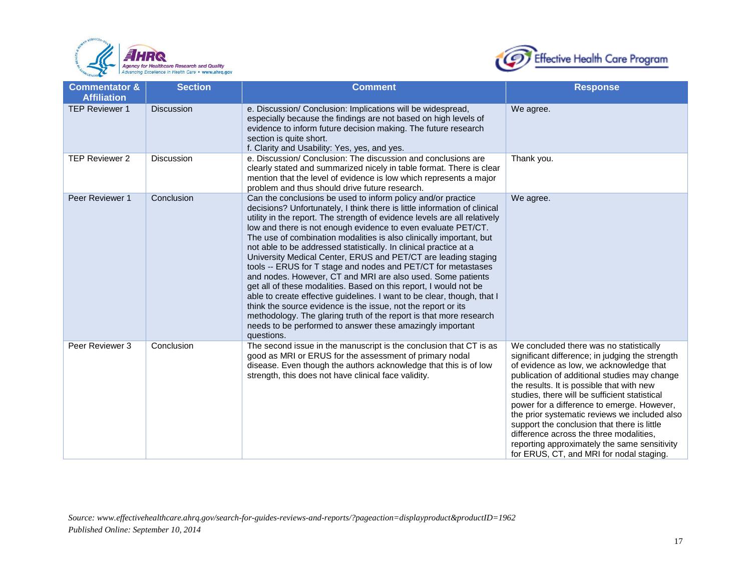



| <b>Commentator &amp;</b><br><b>Affiliation</b> | <b>Section</b>    | <b>Comment</b>                                                                                                                                                                                                                                                                                                                                                                                                                                                                                                                                                                                                                                                                                                                                                                                                                                                                                                                                                                                          | <b>Response</b>                                                                                                                                                                                                                                                                                                                                                                                                                                                                                                                                                          |
|------------------------------------------------|-------------------|---------------------------------------------------------------------------------------------------------------------------------------------------------------------------------------------------------------------------------------------------------------------------------------------------------------------------------------------------------------------------------------------------------------------------------------------------------------------------------------------------------------------------------------------------------------------------------------------------------------------------------------------------------------------------------------------------------------------------------------------------------------------------------------------------------------------------------------------------------------------------------------------------------------------------------------------------------------------------------------------------------|--------------------------------------------------------------------------------------------------------------------------------------------------------------------------------------------------------------------------------------------------------------------------------------------------------------------------------------------------------------------------------------------------------------------------------------------------------------------------------------------------------------------------------------------------------------------------|
| <b>TEP Reviewer 1</b>                          | <b>Discussion</b> | e. Discussion/ Conclusion: Implications will be widespread,<br>especially because the findings are not based on high levels of<br>evidence to inform future decision making. The future research<br>section is quite short.<br>f. Clarity and Usability: Yes, yes, and yes.                                                                                                                                                                                                                                                                                                                                                                                                                                                                                                                                                                                                                                                                                                                             | We agree.                                                                                                                                                                                                                                                                                                                                                                                                                                                                                                                                                                |
| <b>TEP Reviewer 2</b>                          | <b>Discussion</b> | e. Discussion/ Conclusion: The discussion and conclusions are<br>clearly stated and summarized nicely in table format. There is clear<br>mention that the level of evidence is low which represents a major<br>problem and thus should drive future research.                                                                                                                                                                                                                                                                                                                                                                                                                                                                                                                                                                                                                                                                                                                                           | Thank you.                                                                                                                                                                                                                                                                                                                                                                                                                                                                                                                                                               |
| Peer Reviewer 1                                | Conclusion        | Can the conclusions be used to inform policy and/or practice<br>decisions? Unfortunately, I think there is little information of clinical<br>utility in the report. The strength of evidence levels are all relatively<br>low and there is not enough evidence to even evaluate PET/CT.<br>The use of combination modalities is also clinically important, but<br>not able to be addressed statistically. In clinical practice at a<br>University Medical Center, ERUS and PET/CT are leading staging<br>tools -- ERUS for T stage and nodes and PET/CT for metastases<br>and nodes. However, CT and MRI are also used. Some patients<br>get all of these modalities. Based on this report, I would not be<br>able to create effective guidelines. I want to be clear, though, that I<br>think the source evidence is the issue, not the report or its<br>methodology. The glaring truth of the report is that more research<br>needs to be performed to answer these amazingly important<br>questions. | We agree.                                                                                                                                                                                                                                                                                                                                                                                                                                                                                                                                                                |
| Peer Reviewer 3                                | Conclusion        | The second issue in the manuscript is the conclusion that CT is as<br>good as MRI or ERUS for the assessment of primary nodal<br>disease. Even though the authors acknowledge that this is of low<br>strength, this does not have clinical face validity.                                                                                                                                                                                                                                                                                                                                                                                                                                                                                                                                                                                                                                                                                                                                               | We concluded there was no statistically<br>significant difference; in judging the strength<br>of evidence as low, we acknowledge that<br>publication of additional studies may change<br>the results. It is possible that with new<br>studies, there will be sufficient statistical<br>power for a difference to emerge. However,<br>the prior systematic reviews we included also<br>support the conclusion that there is little<br>difference across the three modalities,<br>reporting approximately the same sensitivity<br>for ERUS, CT, and MRI for nodal staging. |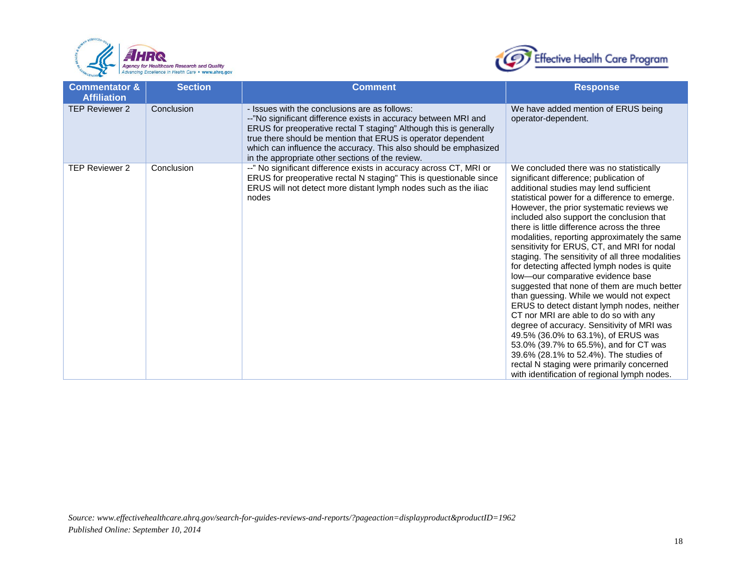



| <b>Commentator &amp;</b><br><b>Affiliation</b> | <b>Section</b> | <b>Comment</b>                                                                                                                                                                                                                                                                                                                                                                 | <b>Response</b>                                                                                                                                                                                                                                                                                                                                                                                                                                                                                                                                                                                                                                                                                                                                                                                                                                                                                                                                                                                                      |
|------------------------------------------------|----------------|--------------------------------------------------------------------------------------------------------------------------------------------------------------------------------------------------------------------------------------------------------------------------------------------------------------------------------------------------------------------------------|----------------------------------------------------------------------------------------------------------------------------------------------------------------------------------------------------------------------------------------------------------------------------------------------------------------------------------------------------------------------------------------------------------------------------------------------------------------------------------------------------------------------------------------------------------------------------------------------------------------------------------------------------------------------------------------------------------------------------------------------------------------------------------------------------------------------------------------------------------------------------------------------------------------------------------------------------------------------------------------------------------------------|
| <b>TEP Reviewer 2</b>                          | Conclusion     | - Issues with the conclusions are as follows:<br>--"No significant difference exists in accuracy between MRI and<br>ERUS for preoperative rectal T staging" Although this is generally<br>true there should be mention that ERUS is operator dependent<br>which can influence the accuracy. This also should be emphasized<br>in the appropriate other sections of the review. | We have added mention of ERUS being<br>operator-dependent.                                                                                                                                                                                                                                                                                                                                                                                                                                                                                                                                                                                                                                                                                                                                                                                                                                                                                                                                                           |
| <b>TEP Reviewer 2</b>                          | Conclusion     | --" No significant difference exists in accuracy across CT, MRI or<br>ERUS for preoperative rectal N staging" This is questionable since<br>ERUS will not detect more distant lymph nodes such as the iliac<br>nodes                                                                                                                                                           | We concluded there was no statistically<br>significant difference; publication of<br>additional studies may lend sufficient<br>statistical power for a difference to emerge.<br>However, the prior systematic reviews we<br>included also support the conclusion that<br>there is little difference across the three<br>modalities, reporting approximately the same<br>sensitivity for ERUS, CT, and MRI for nodal<br>staging. The sensitivity of all three modalities<br>for detecting affected lymph nodes is quite<br>low-our comparative evidence base<br>suggested that none of them are much better<br>than guessing. While we would not expect<br>ERUS to detect distant lymph nodes, neither<br>CT nor MRI are able to do so with any<br>degree of accuracy. Sensitivity of MRI was<br>49.5% (36.0% to 63.1%), of ERUS was<br>53.0% (39.7% to 65.5%), and for CT was<br>39.6% (28.1% to 52.4%). The studies of<br>rectal N staging were primarily concerned<br>with identification of regional lymph nodes. |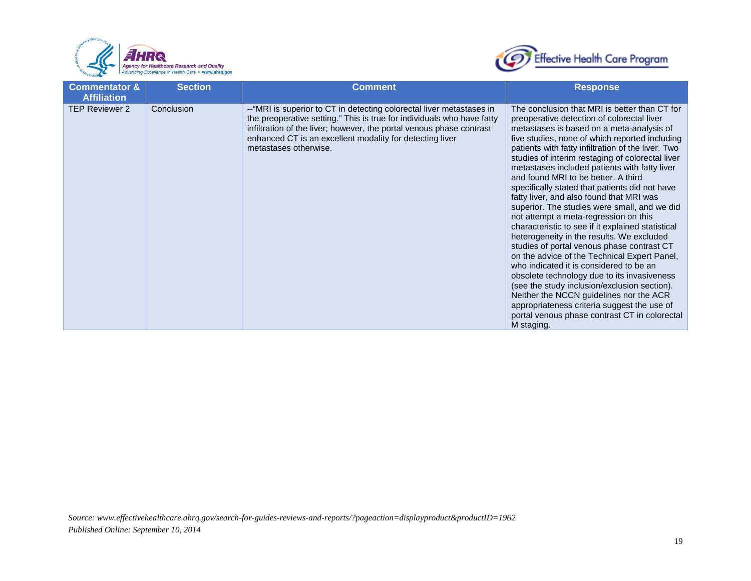



| <b>Commentator &amp;</b><br><b>Affiliation</b> | <b>Section</b> | <b>Comment</b>                                                                                                                                                                                                                                                                                              | <b>Response</b>                                                                                                                                                                                                                                                                                                                                                                                                                                                                                                                                                                                                                                                                                                                                                                                                                                                                                                                                                                                                                                                                        |
|------------------------------------------------|----------------|-------------------------------------------------------------------------------------------------------------------------------------------------------------------------------------------------------------------------------------------------------------------------------------------------------------|----------------------------------------------------------------------------------------------------------------------------------------------------------------------------------------------------------------------------------------------------------------------------------------------------------------------------------------------------------------------------------------------------------------------------------------------------------------------------------------------------------------------------------------------------------------------------------------------------------------------------------------------------------------------------------------------------------------------------------------------------------------------------------------------------------------------------------------------------------------------------------------------------------------------------------------------------------------------------------------------------------------------------------------------------------------------------------------|
| <b>TEP Reviewer 2</b>                          | Conclusion     | --"MRI is superior to CT in detecting colorectal liver metastases in<br>the preoperative setting." This is true for individuals who have fatty<br>infiltration of the liver; however, the portal venous phase contrast<br>enhanced CT is an excellent modality for detecting liver<br>metastases otherwise. | The conclusion that MRI is better than CT for<br>preoperative detection of colorectal liver<br>metastases is based on a meta-analysis of<br>five studies, none of which reported including<br>patients with fatty infiltration of the liver. Two<br>studies of interim restaging of colorectal liver<br>metastases included patients with fatty liver<br>and found MRI to be better. A third<br>specifically stated that patients did not have<br>fatty liver, and also found that MRI was<br>superior. The studies were small, and we did<br>not attempt a meta-regression on this<br>characteristic to see if it explained statistical<br>heterogeneity in the results. We excluded<br>studies of portal venous phase contrast CT<br>on the advice of the Technical Expert Panel,<br>who indicated it is considered to be an<br>obsolete technology due to its invasiveness<br>(see the study inclusion/exclusion section).<br>Neither the NCCN guidelines nor the ACR<br>appropriateness criteria suggest the use of<br>portal venous phase contrast CT in colorectal<br>M staging. |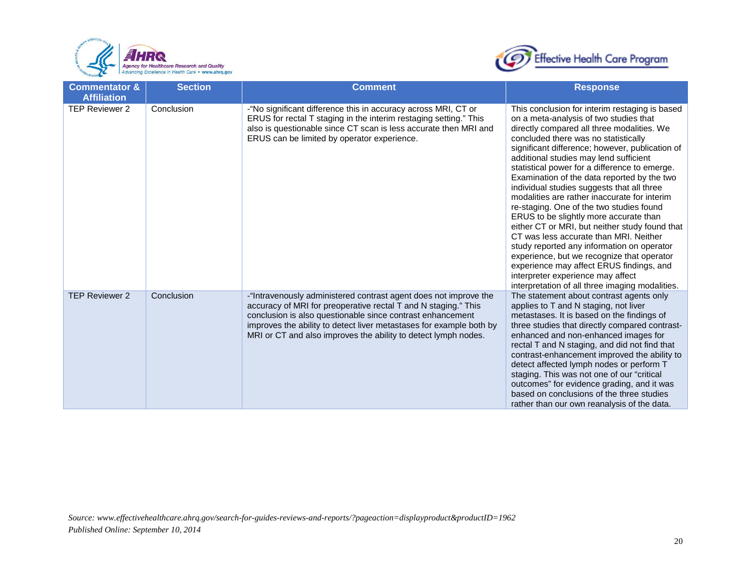



| <b>Commentator &amp;</b><br><b>Affiliation</b> | <b>Section</b> | <b>Comment</b>                                                                                                                                                                                                                                                                                                                            | <b>Response</b>                                                                                                                                                                                                                                                                                                                                                                                                                                                                                                                                                                                                                                                                                                                                                                                                                                                                             |
|------------------------------------------------|----------------|-------------------------------------------------------------------------------------------------------------------------------------------------------------------------------------------------------------------------------------------------------------------------------------------------------------------------------------------|---------------------------------------------------------------------------------------------------------------------------------------------------------------------------------------------------------------------------------------------------------------------------------------------------------------------------------------------------------------------------------------------------------------------------------------------------------------------------------------------------------------------------------------------------------------------------------------------------------------------------------------------------------------------------------------------------------------------------------------------------------------------------------------------------------------------------------------------------------------------------------------------|
| TEP Reviewer 2                                 | Conclusion     | -"No significant difference this in accuracy across MRI, CT or<br>ERUS for rectal T staging in the interim restaging setting." This<br>also is questionable since CT scan is less accurate then MRI and<br>ERUS can be limited by operator experience.                                                                                    | This conclusion for interim restaging is based<br>on a meta-analysis of two studies that<br>directly compared all three modalities. We<br>concluded there was no statistically<br>significant difference; however, publication of<br>additional studies may lend sufficient<br>statistical power for a difference to emerge.<br>Examination of the data reported by the two<br>individual studies suggests that all three<br>modalities are rather inaccurate for interim<br>re-staging. One of the two studies found<br>ERUS to be slightly more accurate than<br>either CT or MRI, but neither study found that<br>CT was less accurate than MRI. Neither<br>study reported any information on operator<br>experience, but we recognize that operator<br>experience may affect ERUS findings, and<br>interpreter experience may affect<br>interpretation of all three imaging modalities. |
| <b>TEP Reviewer 2</b>                          | Conclusion     | -"Intravenously administered contrast agent does not improve the<br>accuracy of MRI for preoperative rectal T and N staging." This<br>conclusion is also questionable since contrast enhancement<br>improves the ability to detect liver metastases for example both by<br>MRI or CT and also improves the ability to detect lymph nodes. | The statement about contrast agents only<br>applies to T and N staging, not liver<br>metastases. It is based on the findings of<br>three studies that directly compared contrast-<br>enhanced and non-enhanced images for<br>rectal T and N staging, and did not find that<br>contrast-enhancement improved the ability to<br>detect affected lymph nodes or perform T<br>staging. This was not one of our "critical<br>outcomes" for evidence grading, and it was<br>based on conclusions of the three studies<br>rather than our own reanalysis of the data.                                                                                                                                                                                                                                                                                                                              |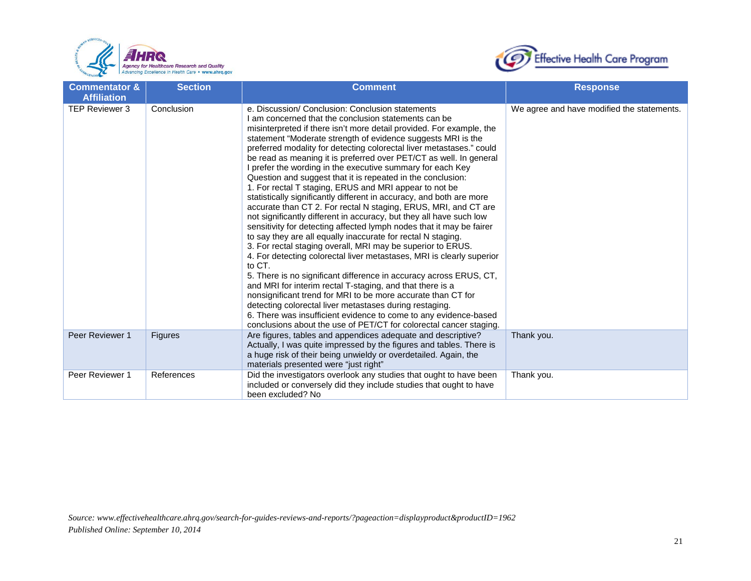



| <b>Commentator &amp;</b><br><b>Affiliation</b> | <b>Section</b> | <b>Comment</b>                                                                                                                                                                                                                                                                                                                                                                                                                                                                                                                                                                                                                                                                                                                                                                                                                                                                                                                                                                                                                                                                                                                                                                                                                                                                                                                                                                                                                                                                                            | <b>Response</b>                            |
|------------------------------------------------|----------------|-----------------------------------------------------------------------------------------------------------------------------------------------------------------------------------------------------------------------------------------------------------------------------------------------------------------------------------------------------------------------------------------------------------------------------------------------------------------------------------------------------------------------------------------------------------------------------------------------------------------------------------------------------------------------------------------------------------------------------------------------------------------------------------------------------------------------------------------------------------------------------------------------------------------------------------------------------------------------------------------------------------------------------------------------------------------------------------------------------------------------------------------------------------------------------------------------------------------------------------------------------------------------------------------------------------------------------------------------------------------------------------------------------------------------------------------------------------------------------------------------------------|--------------------------------------------|
| TEP Reviewer 3                                 | Conclusion     | e. Discussion/ Conclusion: Conclusion statements<br>I am concerned that the conclusion statements can be<br>misinterpreted if there isn't more detail provided. For example, the<br>statement "Moderate strength of evidence suggests MRI is the<br>preferred modality for detecting colorectal liver metastases." could<br>be read as meaning it is preferred over PET/CT as well. In general<br>I prefer the wording in the executive summary for each Key<br>Question and suggest that it is repeated in the conclusion:<br>1. For rectal T staging, ERUS and MRI appear to not be<br>statistically significantly different in accuracy, and both are more<br>accurate than CT 2. For rectal N staging, ERUS, MRI, and CT are<br>not significantly different in accuracy, but they all have such low<br>sensitivity for detecting affected lymph nodes that it may be fairer<br>to say they are all equally inaccurate for rectal N staging.<br>3. For rectal staging overall, MRI may be superior to ERUS.<br>4. For detecting colorectal liver metastases, MRI is clearly superior<br>to CT.<br>5. There is no significant difference in accuracy across ERUS, CT,<br>and MRI for interim rectal T-staging, and that there is a<br>nonsignificant trend for MRI to be more accurate than CT for<br>detecting colorectal liver metastases during restaging.<br>6. There was insufficient evidence to come to any evidence-based<br>conclusions about the use of PET/CT for colorectal cancer staging. | We agree and have modified the statements. |
| Peer Reviewer 1                                | <b>Figures</b> | Are figures, tables and appendices adequate and descriptive?<br>Actually, I was quite impressed by the figures and tables. There is<br>a huge risk of their being unwieldy or overdetailed. Again, the<br>materials presented were "just right"                                                                                                                                                                                                                                                                                                                                                                                                                                                                                                                                                                                                                                                                                                                                                                                                                                                                                                                                                                                                                                                                                                                                                                                                                                                           | Thank you.                                 |
| Peer Reviewer 1                                | References     | Did the investigators overlook any studies that ought to have been<br>included or conversely did they include studies that ought to have<br>been excluded? No                                                                                                                                                                                                                                                                                                                                                                                                                                                                                                                                                                                                                                                                                                                                                                                                                                                                                                                                                                                                                                                                                                                                                                                                                                                                                                                                             | Thank you.                                 |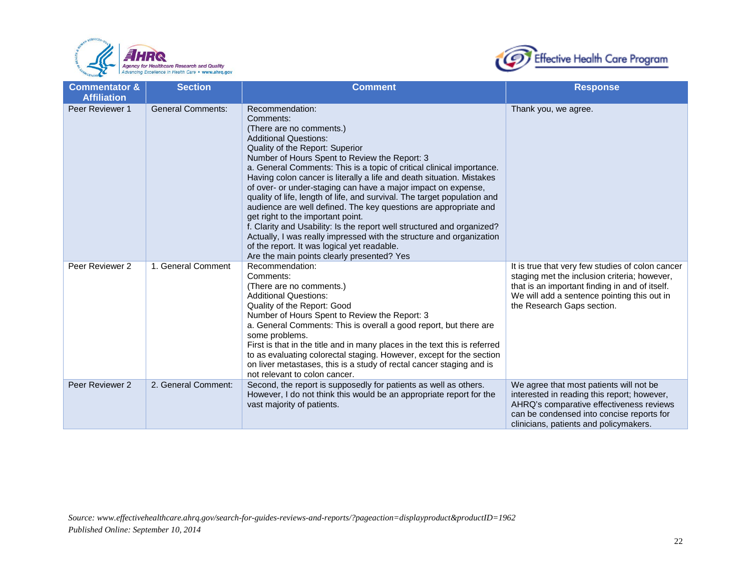



| <b>Commentator &amp;</b><br><b>Affiliation</b> | <b>Section</b>           | <b>Comment</b>                                                                                                                                                                                                                                                                                                                                                                                                                                                                                                                                                                                                                                                                                                                                                                                                                      | <b>Response</b>                                                                                                                                                                                                                 |
|------------------------------------------------|--------------------------|-------------------------------------------------------------------------------------------------------------------------------------------------------------------------------------------------------------------------------------------------------------------------------------------------------------------------------------------------------------------------------------------------------------------------------------------------------------------------------------------------------------------------------------------------------------------------------------------------------------------------------------------------------------------------------------------------------------------------------------------------------------------------------------------------------------------------------------|---------------------------------------------------------------------------------------------------------------------------------------------------------------------------------------------------------------------------------|
| Peer Reviewer 1                                | <b>General Comments:</b> | Recommendation:<br>Comments:<br>(There are no comments.)<br><b>Additional Questions:</b><br>Quality of the Report: Superior<br>Number of Hours Spent to Review the Report: 3<br>a. General Comments: This is a topic of critical clinical importance.<br>Having colon cancer is literally a life and death situation. Mistakes<br>of over- or under-staging can have a major impact on expense,<br>quality of life, length of life, and survival. The target population and<br>audience are well defined. The key questions are appropriate and<br>get right to the important point.<br>f. Clarity and Usability: Is the report well structured and organized?<br>Actually, I was really impressed with the structure and organization<br>of the report. It was logical yet readable.<br>Are the main points clearly presented? Yes | Thank you, we agree.                                                                                                                                                                                                            |
| Peer Reviewer 2                                | 1. General Comment       | Recommendation:<br>Comments:<br>(There are no comments.)<br><b>Additional Questions:</b><br>Quality of the Report: Good<br>Number of Hours Spent to Review the Report: 3<br>a. General Comments: This is overall a good report, but there are<br>some problems.<br>First is that in the title and in many places in the text this is referred<br>to as evaluating colorectal staging. However, except for the section<br>on liver metastases, this is a study of rectal cancer staging and is<br>not relevant to colon cancer.                                                                                                                                                                                                                                                                                                      | It is true that very few studies of colon cancer<br>staging met the inclusion criteria; however,<br>that is an important finding in and of itself.<br>We will add a sentence pointing this out in<br>the Research Gaps section. |
| Peer Reviewer 2                                | 2. General Comment:      | Second, the report is supposedly for patients as well as others.<br>However, I do not think this would be an appropriate report for the<br>vast majority of patients.                                                                                                                                                                                                                                                                                                                                                                                                                                                                                                                                                                                                                                                               | We agree that most patients will not be<br>interested in reading this report; however,<br>AHRQ's comparative effectiveness reviews<br>can be condensed into concise reports for<br>clinicians, patients and policymakers.       |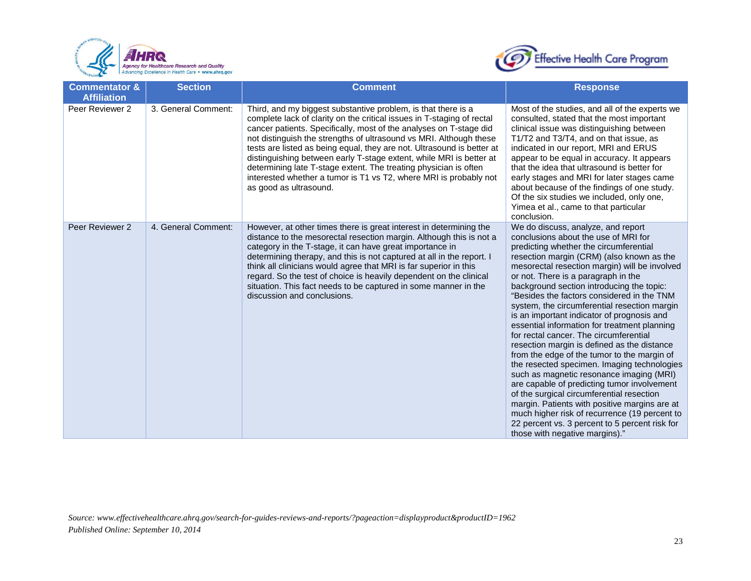



| <b>Commentator &amp;</b><br><b>Affiliation</b> | <b>Section</b>      | <b>Comment</b>                                                                                                                                                                                                                                                                                                                                                                                                                                                                                                                                                                                          | <b>Response</b>                                                                                                                                                                                                                                                                                                                                                                                                                                                                                                                                                                                                                                                                                                                                                                                                                                                                                                                                                                                                         |
|------------------------------------------------|---------------------|---------------------------------------------------------------------------------------------------------------------------------------------------------------------------------------------------------------------------------------------------------------------------------------------------------------------------------------------------------------------------------------------------------------------------------------------------------------------------------------------------------------------------------------------------------------------------------------------------------|-------------------------------------------------------------------------------------------------------------------------------------------------------------------------------------------------------------------------------------------------------------------------------------------------------------------------------------------------------------------------------------------------------------------------------------------------------------------------------------------------------------------------------------------------------------------------------------------------------------------------------------------------------------------------------------------------------------------------------------------------------------------------------------------------------------------------------------------------------------------------------------------------------------------------------------------------------------------------------------------------------------------------|
| Peer Reviewer 2                                | 3. General Comment: | Third, and my biggest substantive problem, is that there is a<br>complete lack of clarity on the critical issues in T-staging of rectal<br>cancer patients. Specifically, most of the analyses on T-stage did<br>not distinguish the strengths of ultrasound vs MRI. Although these<br>tests are listed as being equal, they are not. Ultrasound is better at<br>distinguishing between early T-stage extent, while MRI is better at<br>determining late T-stage extent. The treating physician is often<br>interested whether a tumor is T1 vs T2, where MRI is probably not<br>as good as ultrasound. | Most of the studies, and all of the experts we<br>consulted, stated that the most important<br>clinical issue was distinguishing between<br>T1/T2 and T3/T4, and on that issue, as<br>indicated in our report, MRI and ERUS<br>appear to be equal in accuracy. It appears<br>that the idea that ultrasound is better for<br>early stages and MRI for later stages came<br>about because of the findings of one study.<br>Of the six studies we included, only one,<br>Yimea et al., came to that particular<br>conclusion.                                                                                                                                                                                                                                                                                                                                                                                                                                                                                              |
| Peer Reviewer 2                                | 4. General Comment: | However, at other times there is great interest in determining the<br>distance to the mesorectal resection margin. Although this is not a<br>category in the T-stage, it can have great importance in<br>determining therapy, and this is not captured at all in the report. I<br>think all clinicians would agree that MRI is far superior in this<br>regard. So the test of choice is heavily dependent on the clinical<br>situation. This fact needs to be captured in some manner in the<br>discussion and conclusions.                                                                             | We do discuss, analyze, and report<br>conclusions about the use of MRI for<br>predicting whether the circumferential<br>resection margin (CRM) (also known as the<br>mesorectal resection margin) will be involved<br>or not. There is a paragraph in the<br>background section introducing the topic:<br>"Besides the factors considered in the TNM<br>system, the circumferential resection margin<br>is an important indicator of prognosis and<br>essential information for treatment planning<br>for rectal cancer. The circumferential<br>resection margin is defined as the distance<br>from the edge of the tumor to the margin of<br>the resected specimen. Imaging technologies<br>such as magnetic resonance imaging (MRI)<br>are capable of predicting tumor involvement<br>of the surgical circumferential resection<br>margin. Patients with positive margins are at<br>much higher risk of recurrence (19 percent to<br>22 percent vs. 3 percent to 5 percent risk for<br>those with negative margins)." |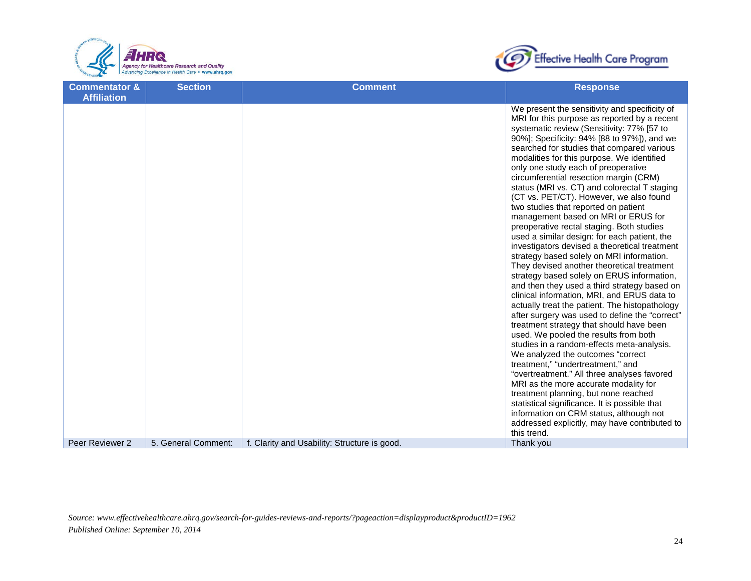



| <b>Commentator &amp;</b> | <b>Section</b>      | <b>Comment</b>                               | <b>Response</b>                                                                                                                                                                                                                                                                                                                                                                                                                                                                                                                                                                                                                                                                                                                                                                                                                                                                                                                                                                                                                                                                                                                                                                                                                                                                                         |
|--------------------------|---------------------|----------------------------------------------|---------------------------------------------------------------------------------------------------------------------------------------------------------------------------------------------------------------------------------------------------------------------------------------------------------------------------------------------------------------------------------------------------------------------------------------------------------------------------------------------------------------------------------------------------------------------------------------------------------------------------------------------------------------------------------------------------------------------------------------------------------------------------------------------------------------------------------------------------------------------------------------------------------------------------------------------------------------------------------------------------------------------------------------------------------------------------------------------------------------------------------------------------------------------------------------------------------------------------------------------------------------------------------------------------------|
| <b>Affiliation</b>       |                     |                                              | We present the sensitivity and specificity of<br>MRI for this purpose as reported by a recent<br>systematic review (Sensitivity: 77% [57 to<br>90%]; Specificity: 94% [88 to 97%]), and we<br>searched for studies that compared various<br>modalities for this purpose. We identified<br>only one study each of preoperative<br>circumferential resection margin (CRM)<br>status (MRI vs. CT) and colorectal T staging<br>(CT vs. PET/CT). However, we also found<br>two studies that reported on patient<br>management based on MRI or ERUS for<br>preoperative rectal staging. Both studies<br>used a similar design: for each patient, the<br>investigators devised a theoretical treatment<br>strategy based solely on MRI information.<br>They devised another theoretical treatment<br>strategy based solely on ERUS information,<br>and then they used a third strategy based on<br>clinical information, MRI, and ERUS data to<br>actually treat the patient. The histopathology<br>after surgery was used to define the "correct"<br>treatment strategy that should have been<br>used. We pooled the results from both<br>studies in a random-effects meta-analysis.<br>We analyzed the outcomes "correct<br>treatment," "undertreatment," and<br>"overtreatment." All three analyses favored |
|                          |                     |                                              | MRI as the more accurate modality for<br>treatment planning, but none reached<br>statistical significance. It is possible that<br>information on CRM status, although not                                                                                                                                                                                                                                                                                                                                                                                                                                                                                                                                                                                                                                                                                                                                                                                                                                                                                                                                                                                                                                                                                                                               |
| Peer Reviewer 2          | 5. General Comment: | f. Clarity and Usability: Structure is good. | addressed explicitly, may have contributed to<br>this trend.<br>Thank you                                                                                                                                                                                                                                                                                                                                                                                                                                                                                                                                                                                                                                                                                                                                                                                                                                                                                                                                                                                                                                                                                                                                                                                                                               |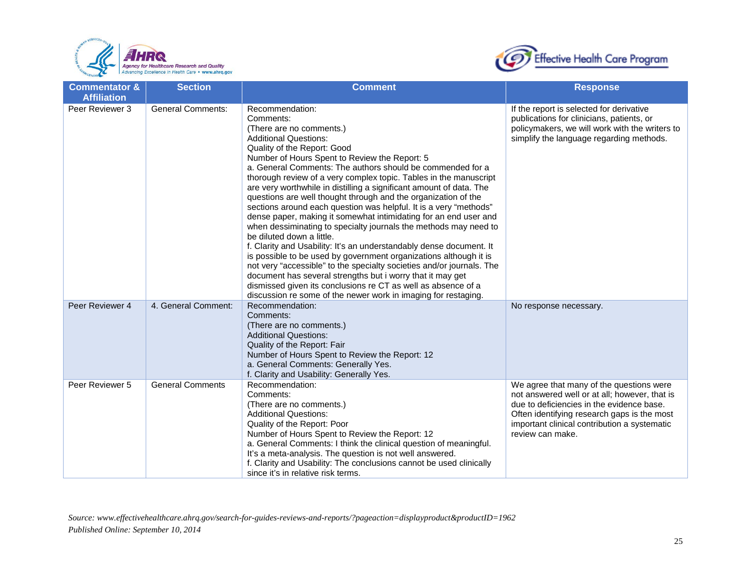



| <b>Commentator &amp;</b><br><b>Affiliation</b> | <b>Section</b>                                 | <b>Comment</b>                                                                                                                                                                                                                                                                                                                                                                                                                                                                                                                                                                                                                                                                                                                                                                                                                                                                                                                                                                                                                                                                                                       | <b>Response</b>                                                                                                                                                                                               |
|------------------------------------------------|------------------------------------------------|----------------------------------------------------------------------------------------------------------------------------------------------------------------------------------------------------------------------------------------------------------------------------------------------------------------------------------------------------------------------------------------------------------------------------------------------------------------------------------------------------------------------------------------------------------------------------------------------------------------------------------------------------------------------------------------------------------------------------------------------------------------------------------------------------------------------------------------------------------------------------------------------------------------------------------------------------------------------------------------------------------------------------------------------------------------------------------------------------------------------|---------------------------------------------------------------------------------------------------------------------------------------------------------------------------------------------------------------|
| Peer Reviewer 3                                | <b>General Comments:</b>                       | Recommendation:<br>Comments:<br>(There are no comments.)<br><b>Additional Questions:</b><br>Quality of the Report: Good<br>Number of Hours Spent to Review the Report: 5<br>a. General Comments: The authors should be commended for a<br>thorough review of a very complex topic. Tables in the manuscript<br>are very worthwhile in distilling a significant amount of data. The<br>questions are well thought through and the organization of the<br>sections around each question was helpful. It is a very "methods"<br>dense paper, making it somewhat intimidating for an end user and<br>when dessiminating to specialty journals the methods may need to<br>be diluted down a little.<br>f. Clarity and Usability: It's an understandably dense document. It<br>is possible to be used by government organizations although it is<br>not very "accessible" to the specialty societies and/or journals. The<br>document has several strengths but i worry that it may get<br>dismissed given its conclusions re CT as well as absence of a<br>discussion re some of the newer work in imaging for restaging. | If the report is selected for derivative<br>publications for clinicians, patients, or<br>policymakers, we will work with the writers to<br>simplify the language regarding methods.                           |
| Peer Reviewer 4<br>Peer Reviewer 5             | 4. General Comment:<br><b>General Comments</b> | Recommendation:<br>Comments:<br>(There are no comments.)<br><b>Additional Questions:</b><br>Quality of the Report: Fair<br>Number of Hours Spent to Review the Report: 12<br>a. General Comments: Generally Yes.<br>f. Clarity and Usability: Generally Yes.<br>Recommendation:                                                                                                                                                                                                                                                                                                                                                                                                                                                                                                                                                                                                                                                                                                                                                                                                                                      | No response necessary.<br>We agree that many of the questions were                                                                                                                                            |
|                                                |                                                | Comments:<br>(There are no comments.)<br><b>Additional Questions:</b><br>Quality of the Report: Poor<br>Number of Hours Spent to Review the Report: 12<br>a. General Comments: I think the clinical question of meaningful.<br>It's a meta-analysis. The question is not well answered.<br>f. Clarity and Usability: The conclusions cannot be used clinically<br>since it's in relative risk terms.                                                                                                                                                                                                                                                                                                                                                                                                                                                                                                                                                                                                                                                                                                                 | not answered well or at all; however, that is<br>due to deficiencies in the evidence base.<br>Often identifying research gaps is the most<br>important clinical contribution a systematic<br>review can make. |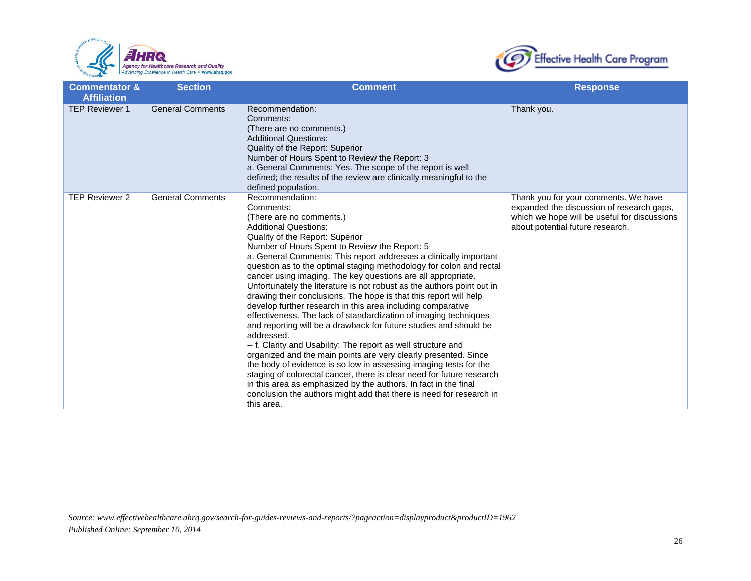



| <b>Commentator &amp;</b><br><b>Affiliation</b> | <b>Section</b>          | <b>Comment</b>                                                                                                                                                                                                                                                                                                                                                                                                                                                                                                                                                                                                                                                                                                                                                                                                                                                                                                                                                                                                                                                                                                                                                                                          | <b>Response</b>                                                                                                                                                       |
|------------------------------------------------|-------------------------|---------------------------------------------------------------------------------------------------------------------------------------------------------------------------------------------------------------------------------------------------------------------------------------------------------------------------------------------------------------------------------------------------------------------------------------------------------------------------------------------------------------------------------------------------------------------------------------------------------------------------------------------------------------------------------------------------------------------------------------------------------------------------------------------------------------------------------------------------------------------------------------------------------------------------------------------------------------------------------------------------------------------------------------------------------------------------------------------------------------------------------------------------------------------------------------------------------|-----------------------------------------------------------------------------------------------------------------------------------------------------------------------|
| <b>TEP Reviewer 1</b>                          | <b>General Comments</b> | Recommendation:<br>Comments:<br>(There are no comments.)<br><b>Additional Questions:</b><br>Quality of the Report: Superior<br>Number of Hours Spent to Review the Report: 3<br>a. General Comments: Yes. The scope of the report is well<br>defined; the results of the review are clinically meaningful to the<br>defined population.                                                                                                                                                                                                                                                                                                                                                                                                                                                                                                                                                                                                                                                                                                                                                                                                                                                                 | Thank you.                                                                                                                                                            |
| <b>TEP Reviewer 2</b>                          | <b>General Comments</b> | Recommendation:<br>Comments:<br>(There are no comments.)<br><b>Additional Questions:</b><br>Quality of the Report: Superior<br>Number of Hours Spent to Review the Report: 5<br>a. General Comments: This report addresses a clinically important<br>question as to the optimal staging methodology for colon and rectal<br>cancer using imaging. The key questions are all appropriate.<br>Unfortunately the literature is not robust as the authors point out in<br>drawing their conclusions. The hope is that this report will help<br>develop further research in this area including comparative<br>effectiveness. The lack of standardization of imaging techniques<br>and reporting will be a drawback for future studies and should be<br>addressed.<br>-- f. Clarity and Usability: The report as well structure and<br>organized and the main points are very clearly presented. Since<br>the body of evidence is so low in assessing imaging tests for the<br>staging of colorectal cancer, there is clear need for future research<br>in this area as emphasized by the authors. In fact in the final<br>conclusion the authors might add that there is need for research in<br>this area. | Thank you for your comments. We have<br>expanded the discussion of research gaps,<br>which we hope will be useful for discussions<br>about potential future research. |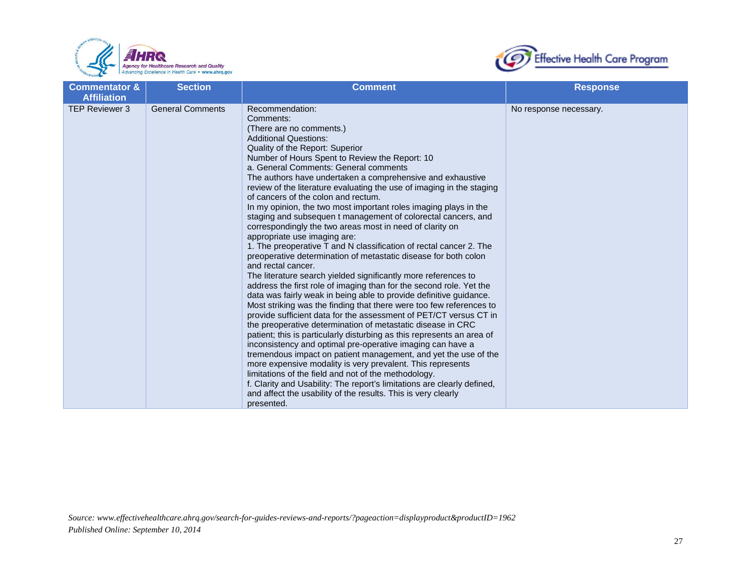



| <b>Commentator &amp;</b><br><b>Affiliation</b> | <b>Section</b>          | <b>Comment</b>                                                                                                                                                                                                                                                                                                                                                                                                                                                                                                                                                                                                                                                                                                                                                                                                                                                                                                                                                                                                                                                                                                                                                                                                                                                                                                                                                                                                                                                                                                                                                                                                                                                                                                            | <b>Response</b>        |
|------------------------------------------------|-------------------------|---------------------------------------------------------------------------------------------------------------------------------------------------------------------------------------------------------------------------------------------------------------------------------------------------------------------------------------------------------------------------------------------------------------------------------------------------------------------------------------------------------------------------------------------------------------------------------------------------------------------------------------------------------------------------------------------------------------------------------------------------------------------------------------------------------------------------------------------------------------------------------------------------------------------------------------------------------------------------------------------------------------------------------------------------------------------------------------------------------------------------------------------------------------------------------------------------------------------------------------------------------------------------------------------------------------------------------------------------------------------------------------------------------------------------------------------------------------------------------------------------------------------------------------------------------------------------------------------------------------------------------------------------------------------------------------------------------------------------|------------------------|
| <b>TEP Reviewer 3</b>                          | <b>General Comments</b> | Recommendation:<br>Comments:<br>(There are no comments.)<br><b>Additional Questions:</b><br>Quality of the Report: Superior<br>Number of Hours Spent to Review the Report: 10<br>a. General Comments: General comments<br>The authors have undertaken a comprehensive and exhaustive<br>review of the literature evaluating the use of imaging in the staging<br>of cancers of the colon and rectum.<br>In my opinion, the two most important roles imaging plays in the<br>staging and subsequen t management of colorectal cancers, and<br>correspondingly the two areas most in need of clarity on<br>appropriate use imaging are:<br>1. The preoperative T and N classification of rectal cancer 2. The<br>preoperative determination of metastatic disease for both colon<br>and rectal cancer.<br>The literature search yielded significantly more references to<br>address the first role of imaging than for the second role. Yet the<br>data was fairly weak in being able to provide definitive guidance.<br>Most striking was the finding that there were too few references to<br>provide sufficient data for the assessment of PET/CT versus CT in<br>the preoperative determination of metastatic disease in CRC<br>patient; this is particularly disturbing as this represents an area of<br>inconsistency and optimal pre-operative imaging can have a<br>tremendous impact on patient management, and yet the use of the<br>more expensive modality is very prevalent. This represents<br>limitations of the field and not of the methodology.<br>f. Clarity and Usability: The report's limitations are clearly defined,<br>and affect the usability of the results. This is very clearly<br>presented. | No response necessary. |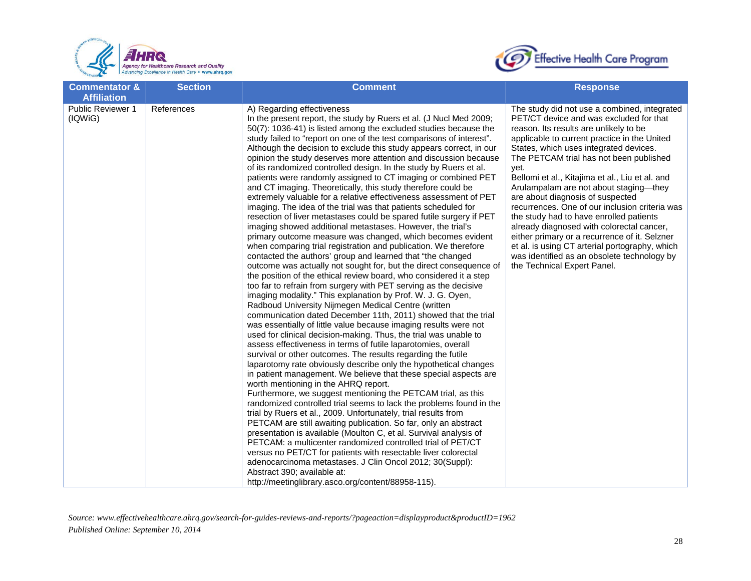



| <b>Commentator &amp;</b>                                  | <b>Section</b> | <b>Comment</b>                                                                                                                                                                                                                                                                                                                                                                                                                                                                                                                                                                                                                                                                                                                                                                                                                                                                                                                                                                                                                                                                        | <b>Response</b>                                                                                                                                                                                                                                                                                                                                                                                                                                                   |
|-----------------------------------------------------------|----------------|---------------------------------------------------------------------------------------------------------------------------------------------------------------------------------------------------------------------------------------------------------------------------------------------------------------------------------------------------------------------------------------------------------------------------------------------------------------------------------------------------------------------------------------------------------------------------------------------------------------------------------------------------------------------------------------------------------------------------------------------------------------------------------------------------------------------------------------------------------------------------------------------------------------------------------------------------------------------------------------------------------------------------------------------------------------------------------------|-------------------------------------------------------------------------------------------------------------------------------------------------------------------------------------------------------------------------------------------------------------------------------------------------------------------------------------------------------------------------------------------------------------------------------------------------------------------|
| <b>Affiliation</b><br><b>Public Reviewer 1</b><br>(IQWiG) | References     | A) Regarding effectiveness<br>In the present report, the study by Ruers et al. (J Nucl Med 2009;<br>50(7): 1036-41) is listed among the excluded studies because the<br>study failed to "report on one of the test comparisons of interest".<br>Although the decision to exclude this study appears correct, in our<br>opinion the study deserves more attention and discussion because<br>of its randomized controlled design. In the study by Ruers et al.<br>patients were randomly assigned to CT imaging or combined PET<br>and CT imaging. Theoretically, this study therefore could be<br>extremely valuable for a relative effectiveness assessment of PET<br>imaging. The idea of the trial was that patients scheduled for                                                                                                                                                                                                                                                                                                                                                  | The study did not use a combined, integrated<br>PET/CT device and was excluded for that<br>reason. Its results are unlikely to be<br>applicable to current practice in the United<br>States, which uses integrated devices.<br>The PETCAM trial has not been published<br>yet.<br>Bellomi et al., Kitajima et al., Liu et al. and<br>Arulampalam are not about staging-they<br>are about diagnosis of suspected<br>recurrences. One of our inclusion criteria was |
|                                                           |                | resection of liver metastases could be spared futile surgery if PET<br>imaging showed additional metastases. However, the trial's<br>primary outcome measure was changed, which becomes evident<br>when comparing trial registration and publication. We therefore<br>contacted the authors' group and learned that "the changed<br>outcome was actually not sought for, but the direct consequence of<br>the position of the ethical review board, who considered it a step<br>too far to refrain from surgery with PET serving as the decisive<br>imaging modality." This explanation by Prof. W. J. G. Oyen,<br>Radboud University Nijmegen Medical Centre (written<br>communication dated December 11th, 2011) showed that the trial<br>was essentially of little value because imaging results were not<br>used for clinical decision-making. Thus, the trial was unable to<br>assess effectiveness in terms of futile laparotomies, overall<br>survival or other outcomes. The results regarding the futile<br>laparotomy rate obviously describe only the hypothetical changes | the study had to have enrolled patients<br>already diagnosed with colorectal cancer,<br>either primary or a recurrence of it. Selzner<br>et al. is using CT arterial portography, which<br>was identified as an obsolete technology by<br>the Technical Expert Panel.                                                                                                                                                                                             |
|                                                           |                | in patient management. We believe that these special aspects are<br>worth mentioning in the AHRQ report.<br>Furthermore, we suggest mentioning the PETCAM trial, as this<br>randomized controlled trial seems to lack the problems found in the<br>trial by Ruers et al., 2009. Unfortunately, trial results from<br>PETCAM are still awaiting publication. So far, only an abstract<br>presentation is available (Moulton C, et al. Survival analysis of<br>PETCAM: a multicenter randomized controlled trial of PET/CT<br>versus no PET/CT for patients with resectable liver colorectal<br>adenocarcinoma metastases. J Clin Oncol 2012; 30(Suppl):<br>Abstract 390; available at:<br>http://meetinglibrary.asco.org/content/88958-115).                                                                                                                                                                                                                                                                                                                                           |                                                                                                                                                                                                                                                                                                                                                                                                                                                                   |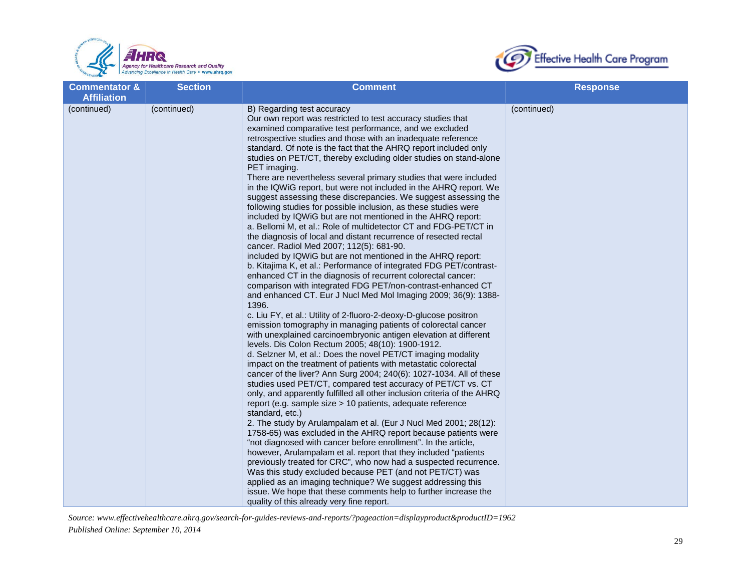



| <b>Commentator &amp;</b><br><b>Affiliation</b> | <b>Section</b> | <b>Comment</b>                                                                                                                                                                                                                                                                                                                                                                                                                                                                                                                                                                                                                                                                                                                                                                                                                                                                                                                                                                                                                                                                                                                                                                                                                                                                                                                                                                                                                                                                                                                                                                                                                                                                                                                                                                                                                                                                                                                                                                                                                                                                                                                                                                                                                                                                                                                                                                                                                                                                                                                                               | <b>Response</b> |
|------------------------------------------------|----------------|--------------------------------------------------------------------------------------------------------------------------------------------------------------------------------------------------------------------------------------------------------------------------------------------------------------------------------------------------------------------------------------------------------------------------------------------------------------------------------------------------------------------------------------------------------------------------------------------------------------------------------------------------------------------------------------------------------------------------------------------------------------------------------------------------------------------------------------------------------------------------------------------------------------------------------------------------------------------------------------------------------------------------------------------------------------------------------------------------------------------------------------------------------------------------------------------------------------------------------------------------------------------------------------------------------------------------------------------------------------------------------------------------------------------------------------------------------------------------------------------------------------------------------------------------------------------------------------------------------------------------------------------------------------------------------------------------------------------------------------------------------------------------------------------------------------------------------------------------------------------------------------------------------------------------------------------------------------------------------------------------------------------------------------------------------------------------------------------------------------------------------------------------------------------------------------------------------------------------------------------------------------------------------------------------------------------------------------------------------------------------------------------------------------------------------------------------------------------------------------------------------------------------------------------------------------|-----------------|
| (continued)                                    | (continued)    | B) Regarding test accuracy<br>Our own report was restricted to test accuracy studies that<br>examined comparative test performance, and we excluded<br>retrospective studies and those with an inadequate reference<br>standard. Of note is the fact that the AHRQ report included only<br>studies on PET/CT, thereby excluding older studies on stand-alone<br>PET imaging.<br>There are nevertheless several primary studies that were included<br>in the IQWiG report, but were not included in the AHRQ report. We<br>suggest assessing these discrepancies. We suggest assessing the<br>following studies for possible inclusion, as these studies were<br>included by IQWiG but are not mentioned in the AHRQ report:<br>a. Bellomi M, et al.: Role of multidetector CT and FDG-PET/CT in<br>the diagnosis of local and distant recurrence of resected rectal<br>cancer. Radiol Med 2007; 112(5): 681-90.<br>included by IQWIG but are not mentioned in the AHRQ report:<br>b. Kitajima K, et al.: Performance of integrated FDG PET/contrast-<br>enhanced CT in the diagnosis of recurrent colorectal cancer:<br>comparison with integrated FDG PET/non-contrast-enhanced CT<br>and enhanced CT. Eur J Nucl Med Mol Imaging 2009; 36(9): 1388-<br>1396.<br>c. Liu FY, et al.: Utility of 2-fluoro-2-deoxy-D-glucose positron<br>emission tomography in managing patients of colorectal cancer<br>with unexplained carcinoembryonic antigen elevation at different<br>levels. Dis Colon Rectum 2005; 48(10): 1900-1912.<br>d. Selzner M, et al.: Does the novel PET/CT imaging modality<br>impact on the treatment of patients with metastatic colorectal<br>cancer of the liver? Ann Surg 2004; 240(6): 1027-1034. All of these<br>studies used PET/CT, compared test accuracy of PET/CT vs. CT<br>only, and apparently fulfilled all other inclusion criteria of the AHRQ<br>report (e.g. sample size > 10 patients, adequate reference<br>standard, etc.)<br>2. The study by Arulampalam et al. (Eur J Nucl Med 2001; 28(12):<br>1758-65) was excluded in the AHRQ report because patients were<br>"not diagnosed with cancer before enrollment". In the article,<br>however, Arulampalam et al. report that they included "patients<br>previously treated for CRC", who now had a suspected recurrence.<br>Was this study excluded because PET (and not PET/CT) was<br>applied as an imaging technique? We suggest addressing this<br>issue. We hope that these comments help to further increase the<br>quality of this already very fine report. | (continued)     |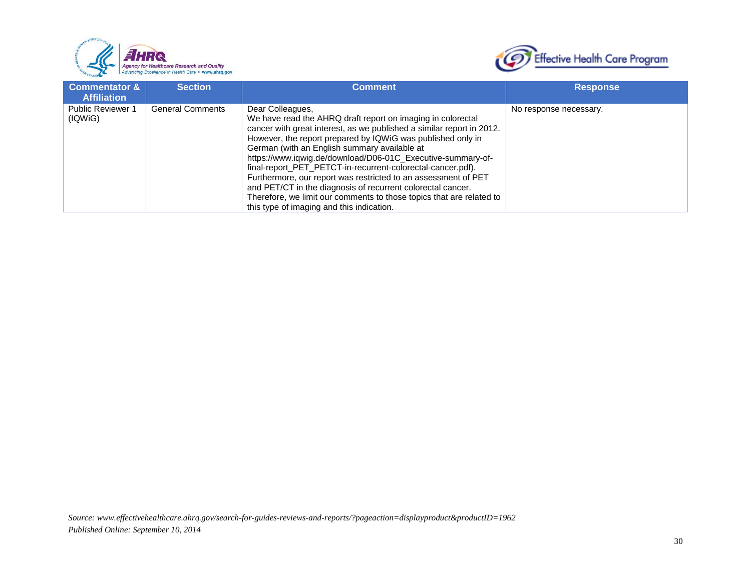



| <b>Commentator &amp;</b><br><b>Affiliation</b> | <b>Section</b>          | <b>Comment</b>                                                                                                                                                                                                                                                                                                                                                                                                                                                                                                                                                                                                                                              | Response               |
|------------------------------------------------|-------------------------|-------------------------------------------------------------------------------------------------------------------------------------------------------------------------------------------------------------------------------------------------------------------------------------------------------------------------------------------------------------------------------------------------------------------------------------------------------------------------------------------------------------------------------------------------------------------------------------------------------------------------------------------------------------|------------------------|
| <b>Public Reviewer 1</b><br>(IQWiG)            | <b>General Comments</b> | Dear Colleagues,<br>We have read the AHRQ draft report on imaging in colorectal<br>cancer with great interest, as we published a similar report in 2012.<br>However, the report prepared by IQWiG was published only in<br>German (with an English summary available at<br>https://www.iqwig.de/download/D06-01C_Executive-summary-of-<br>final-report_PET_PETCT-in-recurrent-colorectal-cancer.pdf).<br>Furthermore, our report was restricted to an assessment of PET<br>and PET/CT in the diagnosis of recurrent colorectal cancer.<br>Therefore, we limit our comments to those topics that are related to<br>this type of imaging and this indication. | No response necessary. |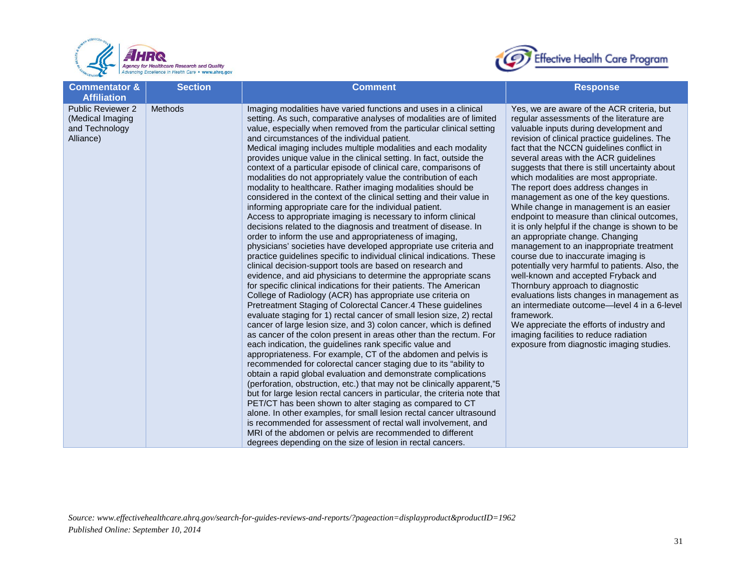



| <b>Commentator &amp;</b>                                                                          | <b>Section</b> | <b>Comment</b>                                                                                                                                                                                                                                                                                                                                                                                                                                                                                                                                                                                                                                                                                                                                                                                                                                                                                                                                                                                                                                                                                                                                                                                                                                                                                                                                                                                                                                                                                                                                                                                                                                                                                                                                                                                                                                                                                                                                                                                                                                                                                                                                                                                                                                                                                                                                                                                                | <b>Response</b>                                                                                                                                                                                                                                                                                                                                                                                                                                                                                                                                                                                                                                                                                                                                                                                                                                                                                                                                                                                                                                                                                        |
|---------------------------------------------------------------------------------------------------|----------------|---------------------------------------------------------------------------------------------------------------------------------------------------------------------------------------------------------------------------------------------------------------------------------------------------------------------------------------------------------------------------------------------------------------------------------------------------------------------------------------------------------------------------------------------------------------------------------------------------------------------------------------------------------------------------------------------------------------------------------------------------------------------------------------------------------------------------------------------------------------------------------------------------------------------------------------------------------------------------------------------------------------------------------------------------------------------------------------------------------------------------------------------------------------------------------------------------------------------------------------------------------------------------------------------------------------------------------------------------------------------------------------------------------------------------------------------------------------------------------------------------------------------------------------------------------------------------------------------------------------------------------------------------------------------------------------------------------------------------------------------------------------------------------------------------------------------------------------------------------------------------------------------------------------------------------------------------------------------------------------------------------------------------------------------------------------------------------------------------------------------------------------------------------------------------------------------------------------------------------------------------------------------------------------------------------------------------------------------------------------------------------------------------------------|--------------------------------------------------------------------------------------------------------------------------------------------------------------------------------------------------------------------------------------------------------------------------------------------------------------------------------------------------------------------------------------------------------------------------------------------------------------------------------------------------------------------------------------------------------------------------------------------------------------------------------------------------------------------------------------------------------------------------------------------------------------------------------------------------------------------------------------------------------------------------------------------------------------------------------------------------------------------------------------------------------------------------------------------------------------------------------------------------------|
| <b>Affiliation</b><br><b>Public Reviewer 2</b><br>(Medical Imaging<br>and Technology<br>Alliance) | Methods        | Imaging modalities have varied functions and uses in a clinical<br>setting. As such, comparative analyses of modalities are of limited<br>value, especially when removed from the particular clinical setting<br>and circumstances of the individual patient.<br>Medical imaging includes multiple modalities and each modality<br>provides unique value in the clinical setting. In fact, outside the<br>context of a particular episode of clinical care, comparisons of<br>modalities do not appropriately value the contribution of each<br>modality to healthcare. Rather imaging modalities should be<br>considered in the context of the clinical setting and their value in<br>informing appropriate care for the individual patient.<br>Access to appropriate imaging is necessary to inform clinical<br>decisions related to the diagnosis and treatment of disease. In<br>order to inform the use and appropriateness of imaging,<br>physicians' societies have developed appropriate use criteria and<br>practice guidelines specific to individual clinical indications. These<br>clinical decision-support tools are based on research and<br>evidence, and aid physicians to determine the appropriate scans<br>for specific clinical indications for their patients. The American<br>College of Radiology (ACR) has appropriate use criteria on<br>Pretreatment Staging of Colorectal Cancer.4 These guidelines<br>evaluate staging for 1) rectal cancer of small lesion size, 2) rectal<br>cancer of large lesion size, and 3) colon cancer, which is defined<br>as cancer of the colon present in areas other than the rectum. For<br>each indication, the guidelines rank specific value and<br>appropriateness. For example, CT of the abdomen and pelvis is<br>recommended for colorectal cancer staging due to its "ability to<br>obtain a rapid global evaluation and demonstrate complications<br>(perforation, obstruction, etc.) that may not be clinically apparent,"5<br>but for large lesion rectal cancers in particular, the criteria note that<br>PET/CT has been shown to alter staging as compared to CT<br>alone. In other examples, for small lesion rectal cancer ultrasound<br>is recommended for assessment of rectal wall involvement, and<br>MRI of the abdomen or pelvis are recommended to different<br>degrees depending on the size of lesion in rectal cancers. | Yes, we are aware of the ACR criteria, but<br>regular assessments of the literature are<br>valuable inputs during development and<br>revision of clinical practice guidelines. The<br>fact that the NCCN guidelines conflict in<br>several areas with the ACR guidelines<br>suggests that there is still uncertainty about<br>which modalities are most appropriate.<br>The report does address changes in<br>management as one of the key questions.<br>While change in management is an easier<br>endpoint to measure than clinical outcomes,<br>it is only helpful if the change is shown to be<br>an appropriate change. Changing<br>management to an inappropriate treatment<br>course due to inaccurate imaging is<br>potentially very harmful to patients. Also, the<br>well-known and accepted Fryback and<br>Thornbury approach to diagnostic<br>evaluations lists changes in management as<br>an intermediate outcome—level 4 in a 6-level<br>framework.<br>We appreciate the efforts of industry and<br>imaging facilities to reduce radiation<br>exposure from diagnostic imaging studies. |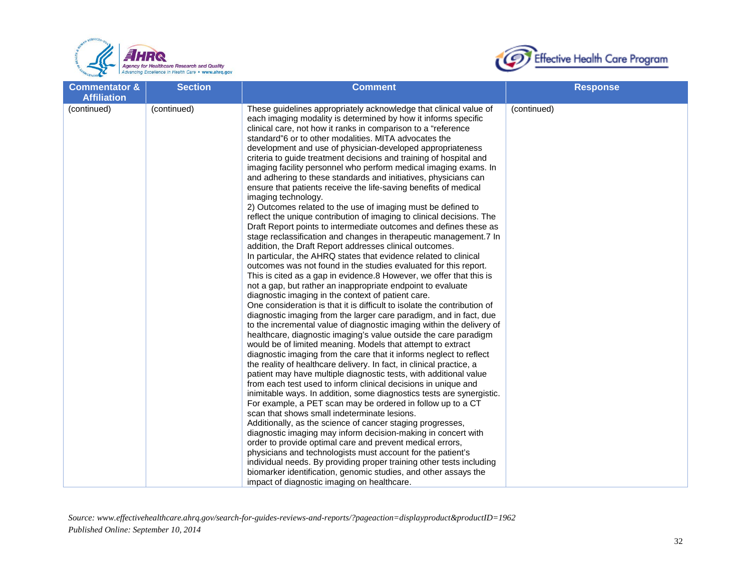



| <b>Commentator &amp;</b><br><b>Affiliation</b> | <b>Section</b> | <b>Comment</b>                                                                                                                                                                                                                                                                                                                                                                                                                                                                                                                                                                                                                                                                                                                                                                                                                                                                                                                                                                                                                                                                                                                                                                                                                                                                                                                                                                                                                                                                                                                                                                                                                                                                                                                                                                                                                                                                                                                                                                                                                                                                                                                                                                                                                                                                                                                                                                                                                                                                                                                                                                                                          | <b>Response</b> |
|------------------------------------------------|----------------|-------------------------------------------------------------------------------------------------------------------------------------------------------------------------------------------------------------------------------------------------------------------------------------------------------------------------------------------------------------------------------------------------------------------------------------------------------------------------------------------------------------------------------------------------------------------------------------------------------------------------------------------------------------------------------------------------------------------------------------------------------------------------------------------------------------------------------------------------------------------------------------------------------------------------------------------------------------------------------------------------------------------------------------------------------------------------------------------------------------------------------------------------------------------------------------------------------------------------------------------------------------------------------------------------------------------------------------------------------------------------------------------------------------------------------------------------------------------------------------------------------------------------------------------------------------------------------------------------------------------------------------------------------------------------------------------------------------------------------------------------------------------------------------------------------------------------------------------------------------------------------------------------------------------------------------------------------------------------------------------------------------------------------------------------------------------------------------------------------------------------------------------------------------------------------------------------------------------------------------------------------------------------------------------------------------------------------------------------------------------------------------------------------------------------------------------------------------------------------------------------------------------------------------------------------------------------------------------------------------------------|-----------------|
| (continued)                                    | (continued)    | These guidelines appropriately acknowledge that clinical value of<br>each imaging modality is determined by how it informs specific<br>clinical care, not how it ranks in comparison to a "reference"<br>standard"6 or to other modalities. MITA advocates the<br>development and use of physician-developed appropriateness<br>criteria to guide treatment decisions and training of hospital and<br>imaging facility personnel who perform medical imaging exams. In<br>and adhering to these standards and initiatives, physicians can<br>ensure that patients receive the life-saving benefits of medical<br>imaging technology.<br>2) Outcomes related to the use of imaging must be defined to<br>reflect the unique contribution of imaging to clinical decisions. The<br>Draft Report points to intermediate outcomes and defines these as<br>stage reclassification and changes in therapeutic management.7 In<br>addition, the Draft Report addresses clinical outcomes.<br>In particular, the AHRQ states that evidence related to clinical<br>outcomes was not found in the studies evaluated for this report.<br>This is cited as a gap in evidence.8 However, we offer that this is<br>not a gap, but rather an inappropriate endpoint to evaluate<br>diagnostic imaging in the context of patient care.<br>One consideration is that it is difficult to isolate the contribution of<br>diagnostic imaging from the larger care paradigm, and in fact, due<br>to the incremental value of diagnostic imaging within the delivery of<br>healthcare, diagnostic imaging's value outside the care paradigm<br>would be of limited meaning. Models that attempt to extract<br>diagnostic imaging from the care that it informs neglect to reflect<br>the reality of healthcare delivery. In fact, in clinical practice, a<br>patient may have multiple diagnostic tests, with additional value<br>from each test used to inform clinical decisions in unique and<br>inimitable ways. In addition, some diagnostics tests are synergistic.<br>For example, a PET scan may be ordered in follow up to a CT<br>scan that shows small indeterminate lesions.<br>Additionally, as the science of cancer staging progresses,<br>diagnostic imaging may inform decision-making in concert with<br>order to provide optimal care and prevent medical errors,<br>physicians and technologists must account for the patient's<br>individual needs. By providing proper training other tests including<br>biomarker identification, genomic studies, and other assays the<br>impact of diagnostic imaging on healthcare. | (continued)     |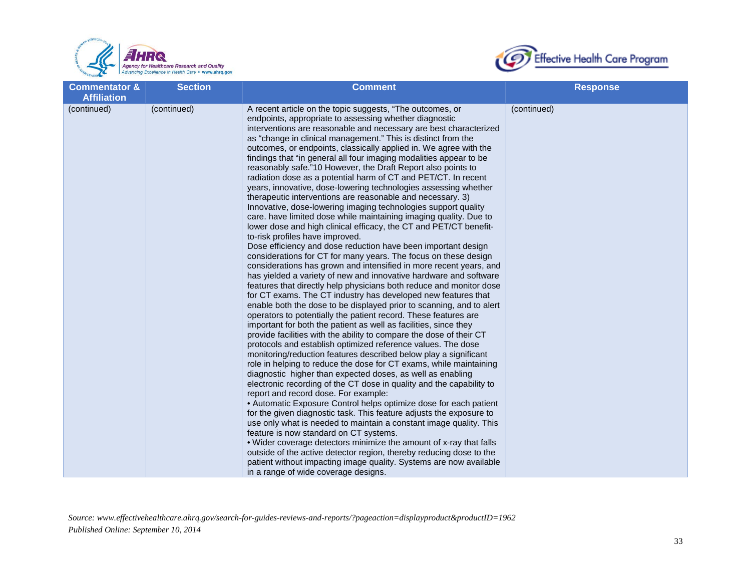



| <b>Commentator &amp;</b><br><b>Affiliation</b> | <b>Section</b> | <b>Comment</b>                                                                                                                                                                                                                                                                                                                                                                                                                                                                                                                                                                                                                                                                                                                                                                                                                                                                                                                                                                                                                                                                                                                                                                                                                                                                                                                                                                                                                                                                                                                                                                                                                                                                                                                                                                                                                                                                                                                                                                                                                                                                                                                                                                                                                                                                                                                                                                                                                                                                                                                                     | <b>Response</b> |
|------------------------------------------------|----------------|----------------------------------------------------------------------------------------------------------------------------------------------------------------------------------------------------------------------------------------------------------------------------------------------------------------------------------------------------------------------------------------------------------------------------------------------------------------------------------------------------------------------------------------------------------------------------------------------------------------------------------------------------------------------------------------------------------------------------------------------------------------------------------------------------------------------------------------------------------------------------------------------------------------------------------------------------------------------------------------------------------------------------------------------------------------------------------------------------------------------------------------------------------------------------------------------------------------------------------------------------------------------------------------------------------------------------------------------------------------------------------------------------------------------------------------------------------------------------------------------------------------------------------------------------------------------------------------------------------------------------------------------------------------------------------------------------------------------------------------------------------------------------------------------------------------------------------------------------------------------------------------------------------------------------------------------------------------------------------------------------------------------------------------------------------------------------------------------------------------------------------------------------------------------------------------------------------------------------------------------------------------------------------------------------------------------------------------------------------------------------------------------------------------------------------------------------------------------------------------------------------------------------------------------------|-----------------|
| (continued)                                    | (continued)    | A recent article on the topic suggests, "The outcomes, or<br>endpoints, appropriate to assessing whether diagnostic<br>interventions are reasonable and necessary are best characterized<br>as "change in clinical management." This is distinct from the<br>outcomes, or endpoints, classically applied in. We agree with the<br>findings that "in general all four imaging modalities appear to be<br>reasonably safe."10 However, the Draft Report also points to<br>radiation dose as a potential harm of CT and PET/CT. In recent<br>years, innovative, dose-lowering technologies assessing whether<br>therapeutic interventions are reasonable and necessary. 3)<br>Innovative, dose-lowering imaging technologies support quality<br>care. have limited dose while maintaining imaging quality. Due to<br>lower dose and high clinical efficacy, the CT and PET/CT benefit-<br>to-risk profiles have improved.<br>Dose efficiency and dose reduction have been important design<br>considerations for CT for many years. The focus on these design<br>considerations has grown and intensified in more recent years, and<br>has yielded a variety of new and innovative hardware and software<br>features that directly help physicians both reduce and monitor dose<br>for CT exams. The CT industry has developed new features that<br>enable both the dose to be displayed prior to scanning, and to alert<br>operators to potentially the patient record. These features are<br>important for both the patient as well as facilities, since they<br>provide facilities with the ability to compare the dose of their CT<br>protocols and establish optimized reference values. The dose<br>monitoring/reduction features described below play a significant<br>role in helping to reduce the dose for CT exams, while maintaining<br>diagnostic higher than expected doses, as well as enabling<br>electronic recording of the CT dose in quality and the capability to<br>report and record dose. For example:<br>• Automatic Exposure Control helps optimize dose for each patient<br>for the given diagnostic task. This feature adjusts the exposure to<br>use only what is needed to maintain a constant image quality. This<br>feature is now standard on CT systems.<br>. Wider coverage detectors minimize the amount of x-ray that falls<br>outside of the active detector region, thereby reducing dose to the<br>patient without impacting image quality. Systems are now available<br>in a range of wide coverage designs. | (continued)     |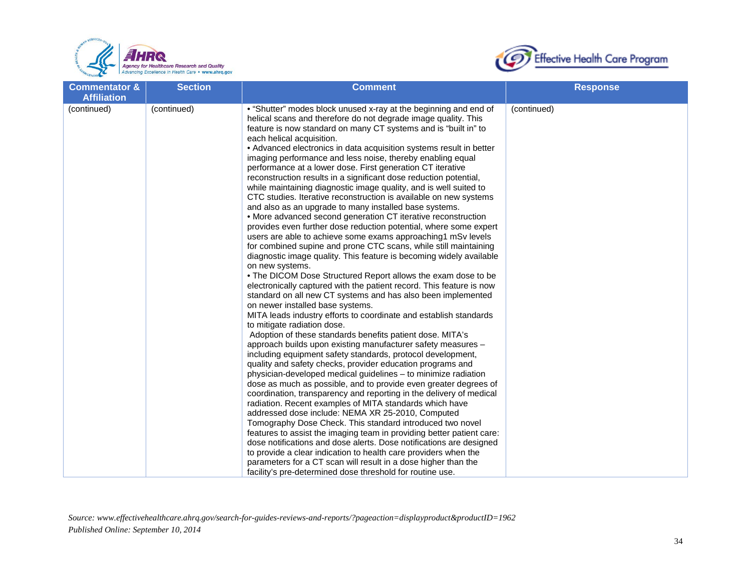



| <b>Commentator &amp;</b><br><b>Affiliation</b> | <b>Section</b> | <b>Comment</b>                                                                                                                                                                                                                                                                                                                                                                                                                                                                                                                                                                                                                                                                                                                                                                                                                                                                                                                                                                                                                                                                                                                                                                                                                                                                                                                                                                                                                                                                                                                                                                                                                                                                                                                                                                                                                                                                                                                                                                                                                                                                                                                                                                                                                                                                                                                                                                                                                            | <b>Response</b> |
|------------------------------------------------|----------------|-------------------------------------------------------------------------------------------------------------------------------------------------------------------------------------------------------------------------------------------------------------------------------------------------------------------------------------------------------------------------------------------------------------------------------------------------------------------------------------------------------------------------------------------------------------------------------------------------------------------------------------------------------------------------------------------------------------------------------------------------------------------------------------------------------------------------------------------------------------------------------------------------------------------------------------------------------------------------------------------------------------------------------------------------------------------------------------------------------------------------------------------------------------------------------------------------------------------------------------------------------------------------------------------------------------------------------------------------------------------------------------------------------------------------------------------------------------------------------------------------------------------------------------------------------------------------------------------------------------------------------------------------------------------------------------------------------------------------------------------------------------------------------------------------------------------------------------------------------------------------------------------------------------------------------------------------------------------------------------------------------------------------------------------------------------------------------------------------------------------------------------------------------------------------------------------------------------------------------------------------------------------------------------------------------------------------------------------------------------------------------------------------------------------------------------------|-----------------|
| (continued)                                    | (continued)    | • "Shutter" modes block unused x-ray at the beginning and end of<br>helical scans and therefore do not degrade image quality. This<br>feature is now standard on many CT systems and is "built in" to<br>each helical acquisition.<br>• Advanced electronics in data acquisition systems result in better<br>imaging performance and less noise, thereby enabling equal<br>performance at a lower dose. First generation CT iterative<br>reconstruction results in a significant dose reduction potential,<br>while maintaining diagnostic image quality, and is well suited to<br>CTC studies. Iterative reconstruction is available on new systems<br>and also as an upgrade to many installed base systems.<br>• More advanced second generation CT iterative reconstruction<br>provides even further dose reduction potential, where some expert<br>users are able to achieve some exams approaching1 mSv levels<br>for combined supine and prone CTC scans, while still maintaining<br>diagnostic image quality. This feature is becoming widely available<br>on new systems.<br>• The DICOM Dose Structured Report allows the exam dose to be<br>electronically captured with the patient record. This feature is now<br>standard on all new CT systems and has also been implemented<br>on newer installed base systems.<br>MITA leads industry efforts to coordinate and establish standards<br>to mitigate radiation dose.<br>Adoption of these standards benefits patient dose. MITA's<br>approach builds upon existing manufacturer safety measures -<br>including equipment safety standards, protocol development,<br>quality and safety checks, provider education programs and<br>physician-developed medical guidelines – to minimize radiation<br>dose as much as possible, and to provide even greater degrees of<br>coordination, transparency and reporting in the delivery of medical<br>radiation. Recent examples of MITA standards which have<br>addressed dose include: NEMA XR 25-2010, Computed<br>Tomography Dose Check. This standard introduced two novel<br>features to assist the imaging team in providing better patient care:<br>dose notifications and dose alerts. Dose notifications are designed<br>to provide a clear indication to health care providers when the<br>parameters for a CT scan will result in a dose higher than the<br>facility's pre-determined dose threshold for routine use. | (continued)     |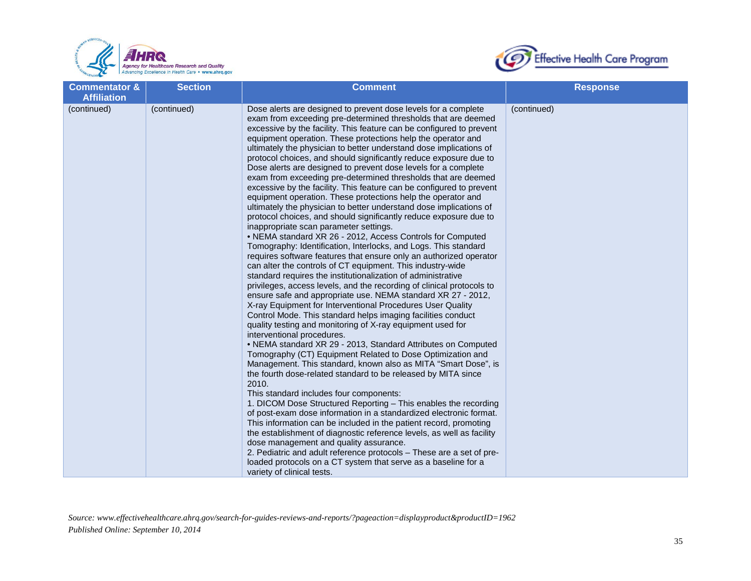



| <b>Commentator &amp;</b><br><b>Affiliation</b> | <b>Section</b> | <b>Comment</b>                                                                                                                                                                                                                                                                                                                                                                                                                                                                                                                                                                                                                                                                                                                                                                                                                                                                                                                                                                                                                                                                                                                                                                                                                                                                                                                                                                                                                                                                                                                                                                                                                                                                                                                                                                                                                                                                                                                                                                                                                                                                                                                                                                                                                                                                                                                                                                                                            | <b>Response</b> |
|------------------------------------------------|----------------|---------------------------------------------------------------------------------------------------------------------------------------------------------------------------------------------------------------------------------------------------------------------------------------------------------------------------------------------------------------------------------------------------------------------------------------------------------------------------------------------------------------------------------------------------------------------------------------------------------------------------------------------------------------------------------------------------------------------------------------------------------------------------------------------------------------------------------------------------------------------------------------------------------------------------------------------------------------------------------------------------------------------------------------------------------------------------------------------------------------------------------------------------------------------------------------------------------------------------------------------------------------------------------------------------------------------------------------------------------------------------------------------------------------------------------------------------------------------------------------------------------------------------------------------------------------------------------------------------------------------------------------------------------------------------------------------------------------------------------------------------------------------------------------------------------------------------------------------------------------------------------------------------------------------------------------------------------------------------------------------------------------------------------------------------------------------------------------------------------------------------------------------------------------------------------------------------------------------------------------------------------------------------------------------------------------------------------------------------------------------------------------------------------------------------|-----------------|
| (continued)                                    | (continued)    | Dose alerts are designed to prevent dose levels for a complete<br>exam from exceeding pre-determined thresholds that are deemed<br>excessive by the facility. This feature can be configured to prevent<br>equipment operation. These protections help the operator and<br>ultimately the physician to better understand dose implications of<br>protocol choices, and should significantly reduce exposure due to<br>Dose alerts are designed to prevent dose levels for a complete<br>exam from exceeding pre-determined thresholds that are deemed<br>excessive by the facility. This feature can be configured to prevent<br>equipment operation. These protections help the operator and<br>ultimately the physician to better understand dose implications of<br>protocol choices, and should significantly reduce exposure due to<br>inappropriate scan parameter settings.<br>• NEMA standard XR 26 - 2012, Access Controls for Computed<br>Tomography: Identification, Interlocks, and Logs. This standard<br>requires software features that ensure only an authorized operator<br>can alter the controls of CT equipment. This industry-wide<br>standard requires the institutionalization of administrative<br>privileges, access levels, and the recording of clinical protocols to<br>ensure safe and appropriate use. NEMA standard XR 27 - 2012,<br>X-ray Equipment for Interventional Procedures User Quality<br>Control Mode. This standard helps imaging facilities conduct<br>quality testing and monitoring of X-ray equipment used for<br>interventional procedures.<br>• NEMA standard XR 29 - 2013, Standard Attributes on Computed<br>Tomography (CT) Equipment Related to Dose Optimization and<br>Management. This standard, known also as MITA "Smart Dose", is<br>the fourth dose-related standard to be released by MITA since<br>2010.<br>This standard includes four components:<br>1. DICOM Dose Structured Reporting - This enables the recording<br>of post-exam dose information in a standardized electronic format.<br>This information can be included in the patient record, promoting<br>the establishment of diagnostic reference levels, as well as facility<br>dose management and quality assurance.<br>2. Pediatric and adult reference protocols - These are a set of pre-<br>loaded protocols on a CT system that serve as a baseline for a<br>variety of clinical tests. | (continued)     |